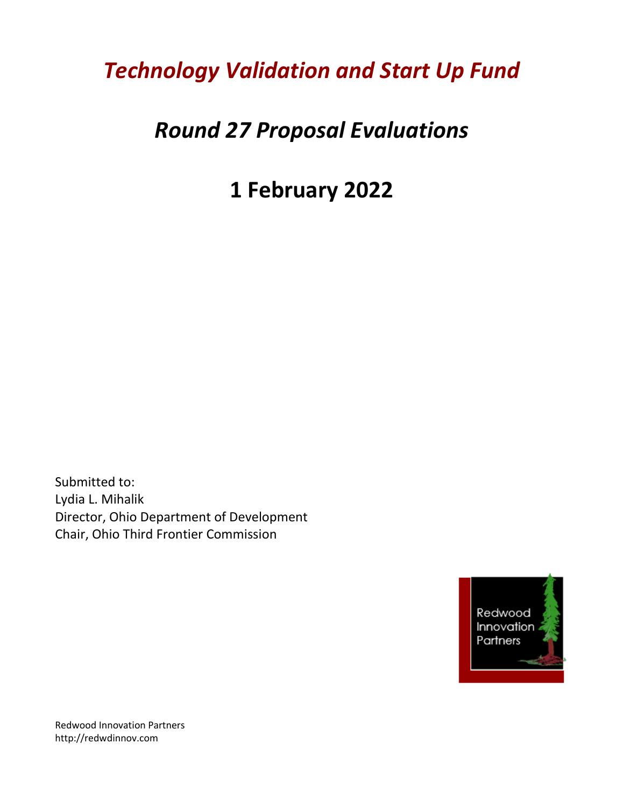## *Technology Validation and Start Up Fund*

## *Round 27 Proposal Evaluations*

# **1 February 2022**

Submitted to: Lydia L. Mihalik Director, Ohio Department of Development Chair, Ohio Third Frontier Commission



Redwood Innovation Partners http://redwdinnov.com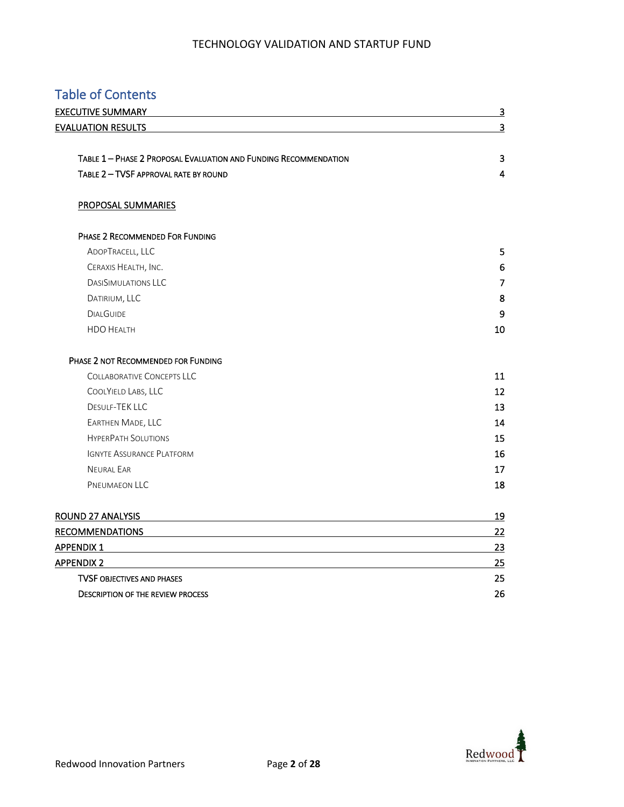### Table of Contents

| <b>EXECUTIVE SUMMARY</b>                                         | $\overline{3}$          |  |  |
|------------------------------------------------------------------|-------------------------|--|--|
| <b>EVALUATION RESULTS</b>                                        | $\overline{\mathbf{3}}$ |  |  |
| TABLE 1 - PHASE 2 PROPOSAL EVALUATION AND FUNDING RECOMMENDATION | 3                       |  |  |
| TABLE 2 - TVSF APPROVAL RATE BY ROUND                            | 4                       |  |  |
| PROPOSAL SUMMARIES                                               |                         |  |  |
| PHASE 2 RECOMMENDED FOR FUNDING                                  |                         |  |  |
| ADOPTRACELL, LLC                                                 | 5                       |  |  |
| CERAXIS HEALTH, INC.                                             | 6                       |  |  |
| <b>DASISIMULATIONS LLC</b>                                       | $\overline{7}$          |  |  |
| DATIRIUM, LLC                                                    | 8                       |  |  |
| <b>DIALGUIDE</b>                                                 | 9                       |  |  |
| <b>HDO HEALTH</b>                                                | 10                      |  |  |
| PHASE 2 NOT RECOMMENDED FOR FUNDING                              |                         |  |  |
| <b>COLLABORATIVE CONCEPTS LLC</b>                                | 11                      |  |  |
| COOLYIELD LABS, LLC                                              | 12                      |  |  |
| <b>DESULE-TEK LLC</b>                                            | 13                      |  |  |
| EARTHEN MADE, LLC                                                | 14                      |  |  |
| <b>HYPERPATH SOLUTIONS</b>                                       | 15                      |  |  |
| <b>IGNYTE ASSURANCE PLATFORM</b>                                 | 16                      |  |  |
| <b>NEURAL EAR</b>                                                | 17                      |  |  |
| PNEUMAEON LLC                                                    | 18                      |  |  |
| <b>ROUND 27 ANALYSIS</b>                                         | 19                      |  |  |
| <b>RECOMMENDATIONS</b>                                           | 22                      |  |  |
| <b>APPENDIX 1</b>                                                | 23                      |  |  |
| <b>APPENDIX 2</b>                                                | 25                      |  |  |
| <b>TVSF OBJECTIVES AND PHASES</b>                                | 25                      |  |  |
| <b>DESCRIPTION OF THE REVIEW PROCESS</b>                         | 26                      |  |  |

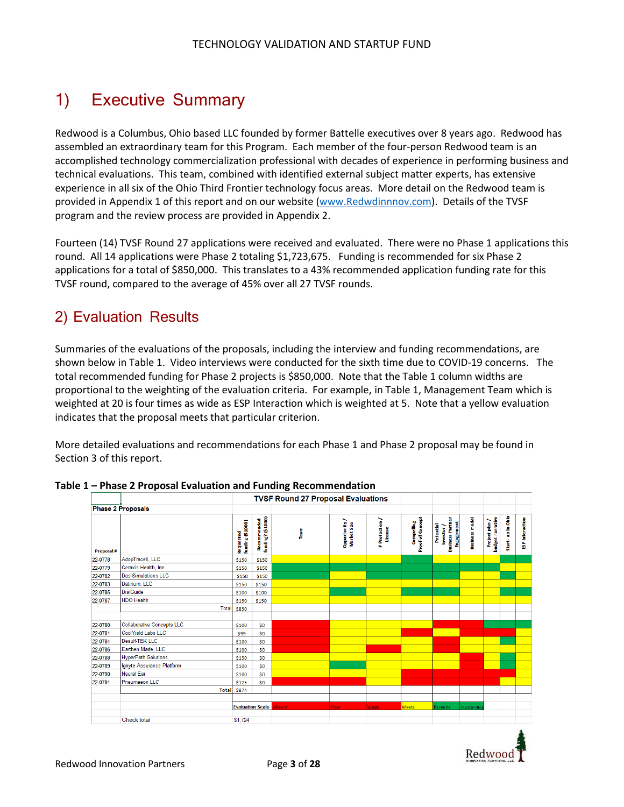## 1) Executive Summary

Redwood is a Columbus, Ohio based LLC founded by former Battelle executives over 8 years ago. Redwood has assembled an extraordinary team for this Program. Each member of the four-person Redwood team is an accomplished technology commercialization professional with decades of experience in performing business and technical evaluations. This team, combined with identified external subject matter experts, has extensive experience in all six of the Ohio Third Frontier technology focus areas. More detail on the Redwood team is provided in Appendix 1 of this report and on our website [\(www.Redwdinnnov.com\)](file:///C:/Users/Susan/AppData/Local/Microsoft/Windows/INetCache/Content.Outlook/UJC951I0/www.Redwdinnnov.com). Details of the TVSF program and the review process are provided in Appendix 2.

Fourteen (14) TVSF Round 27 applications were received and evaluated. There were no Phase 1 applications this round. All 14 applications were Phase 2 totaling \$1,723,675. Funding is recommended for six Phase 2 applications for a total of \$850,000. This translates to a 43% recommended application funding rate for this TVSF round, compared to the average of 45% over all 27 TVSF rounds.

### 2) Evaluation Results

Summaries of the evaluations of the proposals, including the interview and funding recommendations, are shown below in Table 1. Video interviews were conducted for the sixth time due to COVID-19 concerns. The total recommended funding for Phase 2 projects is \$850,000. Note that the Table 1 column widths are proportional to the weighting of the evaluation criteria. For example, in Table 1, Management Team which is weighted at 20 is four times as wide as ESP Interaction which is weighted at 5. Note that a yellow evaluation indicates that the proposal meets that particular criterion.

More detailed evaluations and recommendations for each Phase 1 and Phase 2 proposal may be found in Section 3 of this report.

|                   |                                   |                               | <b>TVSF Round 27 Proposal Evaluations</b> |        |                            |                                  |                                |                                                           |                       |                                         |                           |                       |
|-------------------|-----------------------------------|-------------------------------|-------------------------------------------|--------|----------------------------|----------------------------------|--------------------------------|-----------------------------------------------------------|-----------------------|-----------------------------------------|---------------------------|-----------------------|
|                   | <b>Phase 2 Proposals</b>          |                               |                                           |        |                            |                                  |                                |                                                           |                       |                                         |                           |                       |
| <b>Proposal #</b> |                                   | funding (\$1000)<br>Requested | Recommended<br>funding? (\$1000)          | Team   | Opportunity<br>Market Size | <b>P</b> Protection /<br>License | Proof of Concept<br>Compelling | Investor /<br>Business Partner<br>Engagement<br>Potential | <b>Business model</b> | <b>budget narrative</b><br>Project plan | up in Ohio<br>t.<br>Start | <b>BP</b> interaction |
| 22-0778           | AdopTracell, LLC                  | \$150                         | \$150                                     |        |                            |                                  |                                |                                                           |                       |                                         |                           |                       |
| 22-0779           | Ceraxis Health, Inc.              | \$150                         | \$150                                     |        |                            |                                  |                                |                                                           |                       |                                         |                           |                       |
| 22-0782           | <b>DasiSimulations LLC</b>        | \$150                         | \$150                                     |        |                            |                                  |                                |                                                           |                       |                                         |                           |                       |
| 22-0783           | Datirium, LLC                     | \$150                         | \$150                                     |        |                            |                                  |                                |                                                           |                       |                                         |                           |                       |
| 22-0785           | <b>DialGuide</b>                  | \$100                         | \$100                                     |        |                            |                                  |                                |                                                           |                       |                                         |                           |                       |
| 22-0787           | <b>HDO Health</b>                 | \$150                         | \$150                                     |        |                            |                                  |                                |                                                           |                       |                                         |                           |                       |
|                   | <b>Total</b>                      | <b>S850</b>                   |                                           |        |                            |                                  |                                |                                                           |                       |                                         |                           |                       |
|                   |                                   |                               |                                           |        |                            |                                  |                                |                                                           |                       |                                         |                           |                       |
| 22-0780           | <b>Collaborative Concepts LLC</b> | \$100                         | SO <sub>1</sub>                           |        |                            |                                  |                                |                                                           |                       |                                         |                           |                       |
| 22-0781           | <b>CoolYield Labs LLC</b>         | \$99                          | <b>SO</b>                                 |        |                            |                                  |                                |                                                           |                       |                                         |                           |                       |
| 22-0784           | Desulf-TEK LLC                    | \$100                         | \$O                                       |        |                            |                                  |                                |                                                           |                       |                                         |                           |                       |
| 22-0786           | Earthen Made, LLC                 | \$100                         | <b>SO</b>                                 |        |                            |                                  |                                |                                                           |                       |                                         |                           |                       |
| 22-0788           | <b>HyperPath Solutions</b>        | \$150                         | S <sub>O</sub>                            |        |                            |                                  |                                |                                                           |                       |                                         |                           |                       |
| 22-0789           | Ignyte Assurance Platform         | \$100                         | \$O                                       |        |                            |                                  |                                |                                                           |                       |                                         |                           |                       |
| 22-0790           | <b>Neural Ear</b>                 | \$100                         | <b>SO</b>                                 |        |                            |                                  |                                |                                                           |                       |                                         |                           |                       |
| 22-0791           | <b>Pneumaeon LLC</b>              | \$125                         | S <sub>O</sub>                            |        |                            |                                  |                                |                                                           |                       |                                         |                           |                       |
|                   | Total                             | \$874                         |                                           |        |                            |                                  |                                |                                                           |                       |                                         |                           |                       |
|                   |                                   |                               |                                           |        |                            |                                  |                                |                                                           |                       |                                         |                           |                       |
|                   |                                   |                               | <b>Evaluation Scale</b>                   | Absent | Poor                       | <b>Weak</b>                      | <b>Meets</b>                   | <b>Exceeds</b>                                            | Outstanding           |                                         |                           |                       |
|                   | <b>Check total</b>                | <b>S1.724</b>                 |                                           |        |                            |                                  |                                |                                                           |                       |                                         |                           |                       |
|                   |                                   |                               |                                           |        |                            |                                  |                                |                                                           |                       |                                         |                           | ▲                     |

**Table 1 – Phase 2 Proposal Evaluation and Funding Recommendation**

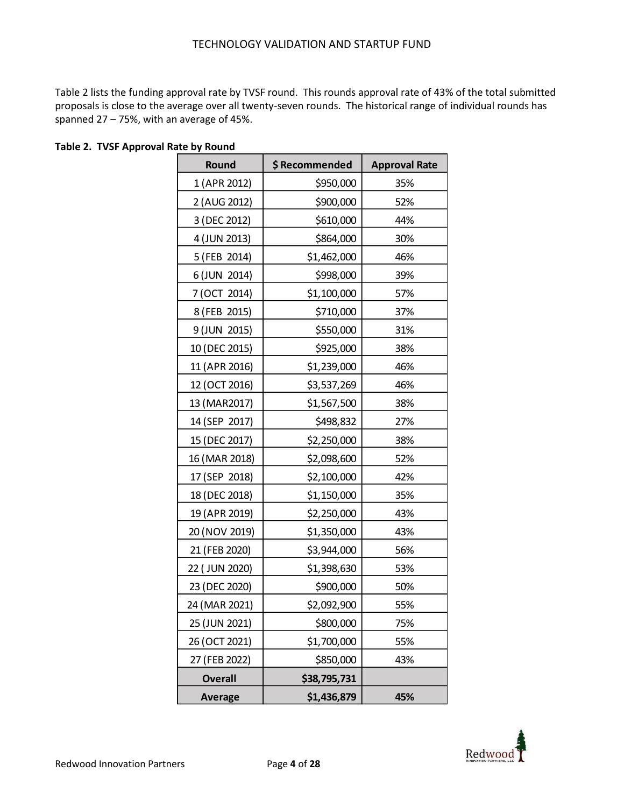Table 2 lists the funding approval rate by TVSF round. This rounds approval rate of 43% of the total submitted proposals is close to the average over all twenty-seven rounds. The historical range of individual rounds has spanned 27 – 75%, with an average of 45%.

| Round          | \$Recommended | <b>Approval Rate</b> |
|----------------|---------------|----------------------|
| 1 (APR 2012)   | \$950,000     | 35%                  |
| 2 (AUG 2012)   | \$900,000     | 52%                  |
| 3 (DEC 2012)   | \$610,000     | 44%                  |
| 4 (JUN 2013)   | \$864,000     | 30%                  |
| 5 (FEB 2014)   | \$1,462,000   | 46%                  |
| 6 (JUN 2014)   | \$998,000     | 39%                  |
| 7 (OCT 2014)   | \$1,100,000   | 57%                  |
| 8 (FEB 2015)   | \$710,000     | 37%                  |
| 9 (JUN 2015)   | \$550,000     | 31%                  |
| 10 (DEC 2015)  | \$925,000     | 38%                  |
| 11 (APR 2016)  | \$1,239,000   | 46%                  |
| 12 (OCT 2016)  | \$3,537,269   | 46%                  |
| 13 (MAR2017)   | \$1,567,500   | 38%                  |
| 14 (SEP 2017)  | \$498,832     | 27%                  |
| 15 (DEC 2017)  | \$2,250,000   | 38%                  |
| 16 (MAR 2018)  | \$2,098,600   | 52%                  |
| 17 (SEP 2018)  | \$2,100,000   | 42%                  |
| 18 (DEC 2018)  | \$1,150,000   | 35%                  |
| 19 (APR 2019)  | \$2,250,000   | 43%                  |
| 20 (NOV 2019)  | \$1,350,000   | 43%                  |
| 21 (FEB 2020)  | \$3,944,000   | 56%                  |
| 22 (JUN 2020)  | \$1,398,630   | 53%                  |
| 23 (DEC 2020)  | \$900,000     | 50%                  |
| 24 (MAR 2021)  | \$2,092,900   | 55%                  |
| 25 (JUN 2021)  | \$800,000     | 75%                  |
| 26 (OCT 2021)  | \$1,700,000   | 55%                  |
| 27 (FEB 2022)  | \$850,000     | 43%                  |
| <b>Overall</b> | \$38,795,731  |                      |
| <b>Average</b> | \$1,436,879   | 45%                  |

**Table 2. TVSF Approval Rate by Round**

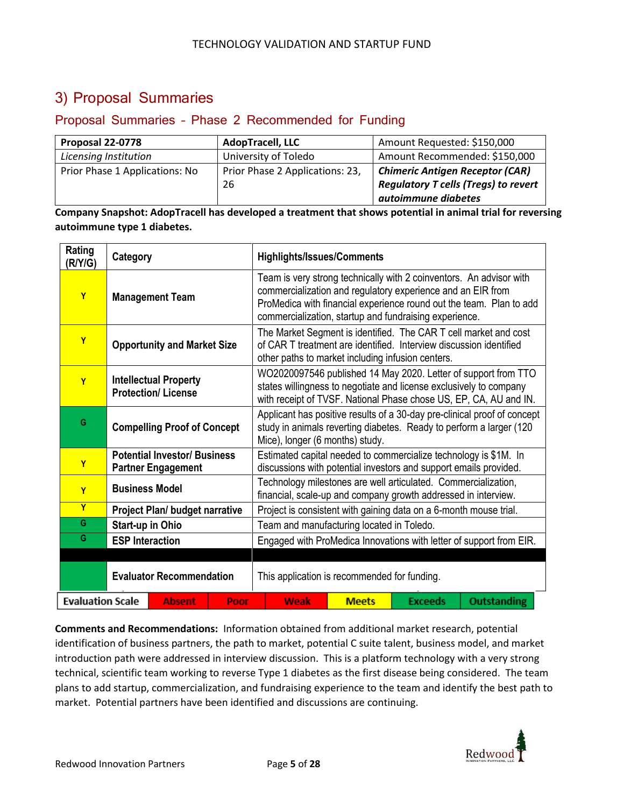### 3) Proposal Summaries

### Proposal Summaries – Phase 2 Recommended for Funding

| Proposal 22-0778               | <b>AdopTracell, LLC</b>         | Amount Requested: \$150,000                 |
|--------------------------------|---------------------------------|---------------------------------------------|
| Licensing Institution          | University of Toledo            | Amount Recommended: \$150,000               |
| Prior Phase 1 Applications: No | Prior Phase 2 Applications: 23, | <b>Chimeric Antigen Receptor (CAR)</b>      |
|                                | 26                              | <b>Regulatory T cells (Tregs) to revert</b> |
|                                |                                 | autoimmune diabetes                         |

**Company Snapshot: AdopTracell has developed a treatment that shows potential in animal trial for reversing autoimmune type 1 diabetes.** 

| Rating<br>(R/Y/G)                                | Category               | <b>Highlights/Issues/Comments</b>                                |                                              |                                                                                                                                                                                                                                                                     |                                                                     |              |                                                                    |                                                                                                                                     |  |  |
|--------------------------------------------------|------------------------|------------------------------------------------------------------|----------------------------------------------|---------------------------------------------------------------------------------------------------------------------------------------------------------------------------------------------------------------------------------------------------------------------|---------------------------------------------------------------------|--------------|--------------------------------------------------------------------|-------------------------------------------------------------------------------------------------------------------------------------|--|--|
| Y                                                |                        | <b>Management Team</b>                                           |                                              | Team is very strong technically with 2 coinventors. An advisor with<br>commercialization and regulatory experience and an EIR from<br>ProMedica with financial experience round out the team. Plan to add<br>commercialization, startup and fundraising experience. |                                                                     |              |                                                                    |                                                                                                                                     |  |  |
| Y                                                |                        | <b>Opportunity and Market Size</b>                               |                                              | The Market Segment is identified. The CAR T cell market and cost<br>of CAR T treatment are identified. Interview discussion identified<br>other paths to market including infusion centers.                                                                         |                                                                     |              |                                                                    |                                                                                                                                     |  |  |
| Y                                                |                        | <b>Intellectual Property</b><br><b>Protection/License</b>        |                                              |                                                                                                                                                                                                                                                                     |                                                                     |              | states willingness to negotiate and license exclusively to company | WO2020097546 published 14 May 2020. Letter of support from TTO<br>with receipt of TVSF. National Phase chose US, EP, CA, AU and IN. |  |  |
| G                                                |                        | <b>Compelling Proof of Concept</b>                               |                                              | Applicant has positive results of a 30-day pre-clinical proof of concept<br>study in animals reverting diabetes. Ready to perform a larger (120<br>Mice), longer (6 months) study.                                                                                  |                                                                     |              |                                                                    |                                                                                                                                     |  |  |
| Y                                                |                        | <b>Potential Investor/ Business</b><br><b>Partner Engagement</b> |                                              | Estimated capital needed to commercialize technology is \$1M. In<br>discussions with potential investors and support emails provided.                                                                                                                               |                                                                     |              |                                                                    |                                                                                                                                     |  |  |
| Y                                                | <b>Business Model</b>  |                                                                  |                                              | Technology milestones are well articulated. Commercialization,<br>financial, scale-up and company growth addressed in interview.                                                                                                                                    |                                                                     |              |                                                                    |                                                                                                                                     |  |  |
| $\overline{\mathsf{Y}}$                          |                        | <b>Project Plan/ budget narrative</b>                            |                                              |                                                                                                                                                                                                                                                                     |                                                                     |              | Project is consistent with gaining data on a 6-month mouse trial.  |                                                                                                                                     |  |  |
| G                                                | Start-up in Ohio       |                                                                  |                                              | Team and manufacturing located in Toledo.                                                                                                                                                                                                                           |                                                                     |              |                                                                    |                                                                                                                                     |  |  |
| G                                                | <b>ESP Interaction</b> |                                                                  |                                              |                                                                                                                                                                                                                                                                     | Engaged with ProMedica Innovations with letter of support from EIR. |              |                                                                    |                                                                                                                                     |  |  |
|                                                  |                        |                                                                  |                                              |                                                                                                                                                                                                                                                                     |                                                                     |              |                                                                    |                                                                                                                                     |  |  |
| <b>Evaluator Recommendation</b>                  |                        |                                                                  | This application is recommended for funding. |                                                                                                                                                                                                                                                                     |                                                                     |              |                                                                    |                                                                                                                                     |  |  |
| <b>Evaluation Scale</b><br><b>Absent</b><br>Poor |                        |                                                                  |                                              |                                                                                                                                                                                                                                                                     | <b>Weak</b>                                                         | <b>Meets</b> | <b>Exceeds</b>                                                     | <b>Outstanding</b>                                                                                                                  |  |  |

**Comments and Recommendations:** Information obtained from additional market research, potential identification of business partners, the path to market, potential C suite talent, business model, and market introduction path were addressed in interview discussion. This is a platform technology with a very strong technical, scientific team working to reverse Type 1 diabetes as the first disease being considered. The team plans to add startup, commercialization, and fundraising experience to the team and identify the best path to market. Potential partners have been identified and discussions are continuing.

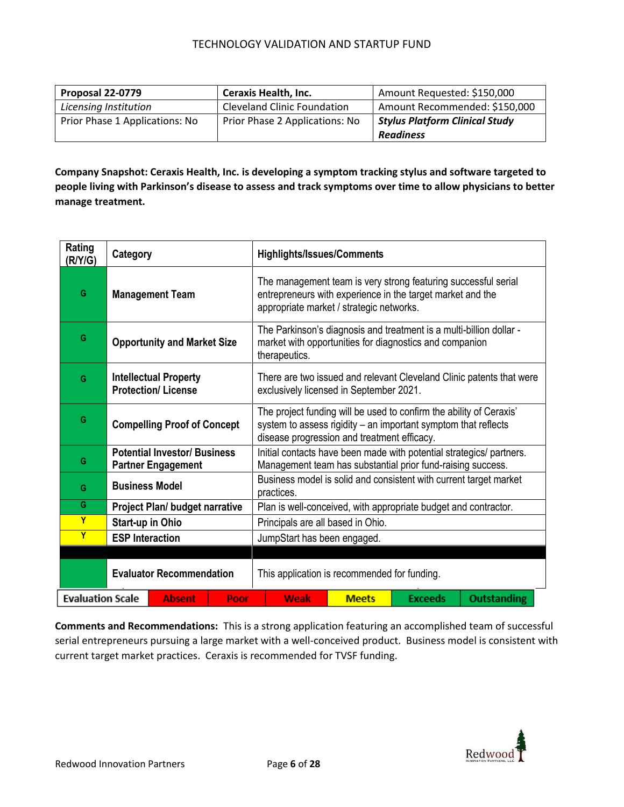| Proposal 22-0779               | <b>Ceraxis Health, Inc.</b>        | Amount Requested: \$150,000           |
|--------------------------------|------------------------------------|---------------------------------------|
| Licensing Institution          | <b>Cleveland Clinic Foundation</b> | Amount Recommended: \$150,000         |
| Prior Phase 1 Applications: No | Prior Phase 2 Applications: No     | <b>Stylus Platform Clinical Study</b> |
|                                |                                    | <b>Readiness</b>                      |

**Company Snapshot: Ceraxis Health, Inc. is developing a symptom tracking stylus and software targeted to people living with Parkinson's disease to assess and track symptoms over time to allow physicians to better manage treatment.** 

| Rating<br>(R/Y/G)                                | Category                                                  |                                                                  |                                              | <b>Highlights/Issues/Comments</b>                                                                                                                                        |                                                                                                                                                                                      |                                         |                                                                                                                                |                                                                      |  |  |
|--------------------------------------------------|-----------------------------------------------------------|------------------------------------------------------------------|----------------------------------------------|--------------------------------------------------------------------------------------------------------------------------------------------------------------------------|--------------------------------------------------------------------------------------------------------------------------------------------------------------------------------------|-----------------------------------------|--------------------------------------------------------------------------------------------------------------------------------|----------------------------------------------------------------------|--|--|
| G                                                |                                                           | <b>Management Team</b>                                           |                                              | The management team is very strong featuring successful serial<br>entrepreneurs with experience in the target market and the<br>appropriate market / strategic networks. |                                                                                                                                                                                      |                                         |                                                                                                                                |                                                                      |  |  |
| G                                                | <b>Opportunity and Market Size</b>                        |                                                                  |                                              |                                                                                                                                                                          | therapeutics.                                                                                                                                                                        |                                         | The Parkinson's diagnosis and treatment is a multi-billion dollar -<br>market with opportunities for diagnostics and companion |                                                                      |  |  |
| G                                                | <b>Intellectual Property</b><br><b>Protection/License</b> |                                                                  |                                              |                                                                                                                                                                          |                                                                                                                                                                                      | exclusively licensed in September 2021. |                                                                                                                                | There are two issued and relevant Cleveland Clinic patents that were |  |  |
| G                                                | <b>Compelling Proof of Concept</b>                        |                                                                  |                                              |                                                                                                                                                                          | The project funding will be used to confirm the ability of Ceraxis'<br>system to assess rigidity - an important symptom that reflects<br>disease progression and treatment efficacy. |                                         |                                                                                                                                |                                                                      |  |  |
| G                                                |                                                           | <b>Potential Investor/ Business</b><br><b>Partner Engagement</b> |                                              | Initial contacts have been made with potential strategics/ partners.<br>Management team has substantial prior fund-raising success.                                      |                                                                                                                                                                                      |                                         |                                                                                                                                |                                                                      |  |  |
| G                                                | <b>Business Model</b>                                     |                                                                  |                                              | Business model is solid and consistent with current target market<br>practices.                                                                                          |                                                                                                                                                                                      |                                         |                                                                                                                                |                                                                      |  |  |
| G                                                |                                                           | <b>Project Plan/ budget narrative</b>                            |                                              |                                                                                                                                                                          |                                                                                                                                                                                      |                                         | Plan is well-conceived, with appropriate budget and contractor.                                                                |                                                                      |  |  |
| Y                                                | <b>Start-up in Ohio</b>                                   |                                                                  |                                              | Principals are all based in Ohio.                                                                                                                                        |                                                                                                                                                                                      |                                         |                                                                                                                                |                                                                      |  |  |
| Y                                                | <b>ESP Interaction</b>                                    |                                                                  |                                              |                                                                                                                                                                          |                                                                                                                                                                                      | JumpStart has been engaged.             |                                                                                                                                |                                                                      |  |  |
|                                                  |                                                           |                                                                  |                                              |                                                                                                                                                                          |                                                                                                                                                                                      |                                         |                                                                                                                                |                                                                      |  |  |
| <b>Evaluator Recommendation</b>                  |                                                           |                                                                  | This application is recommended for funding. |                                                                                                                                                                          |                                                                                                                                                                                      |                                         |                                                                                                                                |                                                                      |  |  |
| <b>Evaluation Scale</b><br><b>Absent</b><br>Poor |                                                           |                                                                  |                                              | Weak                                                                                                                                                                     | <b>Meets</b>                                                                                                                                                                         | <b>Exceeds</b>                          | <b>Outstanding</b>                                                                                                             |                                                                      |  |  |

**Comments and Recommendations:** This is a strong application featuring an accomplished team of successful serial entrepreneurs pursuing a large market with a well-conceived product. Business model is consistent with current target market practices. Ceraxis is recommended for TVSF funding.

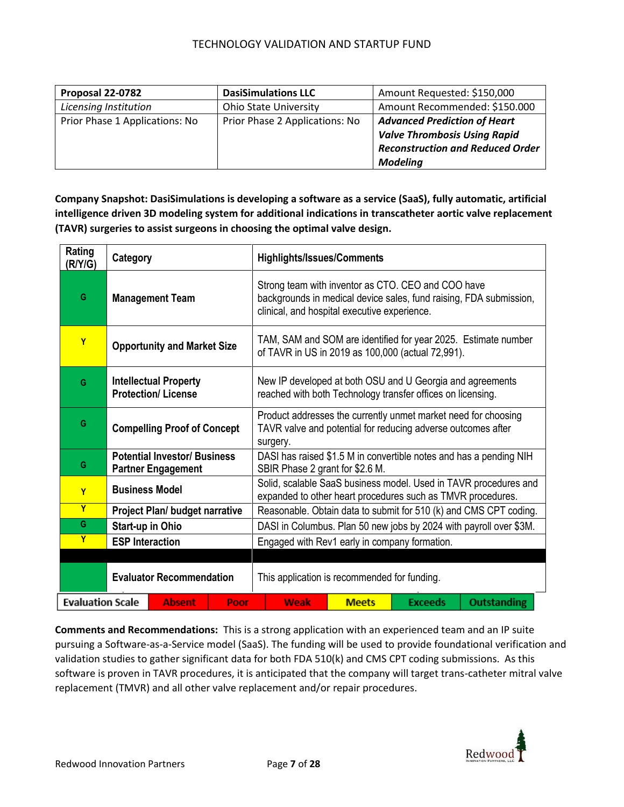| Proposal 22-0782               | <b>DasiSimulations LLC</b>     | Amount Requested: \$150,000             |
|--------------------------------|--------------------------------|-----------------------------------------|
| Licensing Institution          | <b>Ohio State University</b>   | Amount Recommended: \$150.000           |
| Prior Phase 1 Applications: No | Prior Phase 2 Applications: No | <b>Advanced Prediction of Heart</b>     |
|                                |                                | <b>Valve Thrombosis Using Rapid</b>     |
|                                |                                | <b>Reconstruction and Reduced Order</b> |
|                                |                                | <b>Modeling</b>                         |

**Company Snapshot: DasiSimulations is developing a software as a service (SaaS), fully automatic, artificial intelligence driven 3D modeling system for additional indications in transcatheter aortic valve replacement (TAVR) surgeries to assist surgeons in choosing the optimal valve design.**

| Rating<br>(R/Y/G)                                | Category                           |                                                                  |  | <b>Highlights/Issues/Comments</b>                                                                                                          |                                                                                                                                                                          |                                               |                                                                                                                          |                                                                    |  |  |
|--------------------------------------------------|------------------------------------|------------------------------------------------------------------|--|--------------------------------------------------------------------------------------------------------------------------------------------|--------------------------------------------------------------------------------------------------------------------------------------------------------------------------|-----------------------------------------------|--------------------------------------------------------------------------------------------------------------------------|--------------------------------------------------------------------|--|--|
| G                                                |                                    | <b>Management Team</b>                                           |  |                                                                                                                                            | Strong team with inventor as CTO. CEO and COO have<br>backgrounds in medical device sales, fund raising, FDA submission,<br>clinical, and hospital executive experience. |                                               |                                                                                                                          |                                                                    |  |  |
| Y                                                | <b>Opportunity and Market Size</b> |                                                                  |  |                                                                                                                                            |                                                                                                                                                                          |                                               | of TAVR in US in 2019 as 100,000 (actual 72,991).                                                                        | TAM, SAM and SOM are identified for year 2025. Estimate number     |  |  |
| G                                                |                                    | <b>Intellectual Property</b><br><b>Protection/License</b>        |  |                                                                                                                                            |                                                                                                                                                                          |                                               | New IP developed at both OSU and U Georgia and agreements<br>reached with both Technology transfer offices on licensing. |                                                                    |  |  |
| G                                                |                                    | <b>Compelling Proof of Concept</b>                               |  | Product addresses the currently unmet market need for choosing<br>TAVR valve and potential for reducing adverse outcomes after<br>surgery. |                                                                                                                                                                          |                                               |                                                                                                                          |                                                                    |  |  |
| G                                                |                                    | <b>Potential Investor/ Business</b><br><b>Partner Engagement</b> |  | DASI has raised \$1.5 M in convertible notes and has a pending NIH<br>SBIR Phase 2 grant for \$2.6 M.                                      |                                                                                                                                                                          |                                               |                                                                                                                          |                                                                    |  |  |
| Y                                                | <b>Business Model</b>              |                                                                  |  | Solid, scalable SaaS business model. Used in TAVR procedures and<br>expanded to other heart procedures such as TMVR procedures.            |                                                                                                                                                                          |                                               |                                                                                                                          |                                                                    |  |  |
| $\overline{Y}$                                   |                                    | <b>Project Plan/ budget narrative</b>                            |  |                                                                                                                                            |                                                                                                                                                                          |                                               |                                                                                                                          | Reasonable. Obtain data to submit for 510 (k) and CMS CPT coding.  |  |  |
| G                                                | Start-up in Ohio                   |                                                                  |  |                                                                                                                                            |                                                                                                                                                                          |                                               |                                                                                                                          | DASI in Columbus. Plan 50 new jobs by 2024 with payroll over \$3M. |  |  |
| Y                                                | <b>ESP Interaction</b>             |                                                                  |  |                                                                                                                                            |                                                                                                                                                                          | Engaged with Rev1 early in company formation. |                                                                                                                          |                                                                    |  |  |
| <b>Evaluator Recommendation</b>                  |                                    |                                                                  |  | This application is recommended for funding.                                                                                               |                                                                                                                                                                          |                                               |                                                                                                                          |                                                                    |  |  |
| <b>Evaluation Scale</b><br><b>Absent</b><br>Poor |                                    |                                                                  |  | <b>Weak</b>                                                                                                                                | <b>Meets</b>                                                                                                                                                             | <b>Exceeds</b>                                | <b>Outstanding</b>                                                                                                       |                                                                    |  |  |

**Comments and Recommendations:** This is a strong application with an experienced team and an IP suite pursuing a Software-as-a-Service model (SaaS). The funding will be used to provide foundational verification and validation studies to gather significant data for both FDA 510(k) and CMS CPT coding submissions. As this software is proven in TAVR procedures, it is anticipated that the company will target trans-catheter mitral valve replacement (TMVR) and all other valve replacement and/or repair procedures.

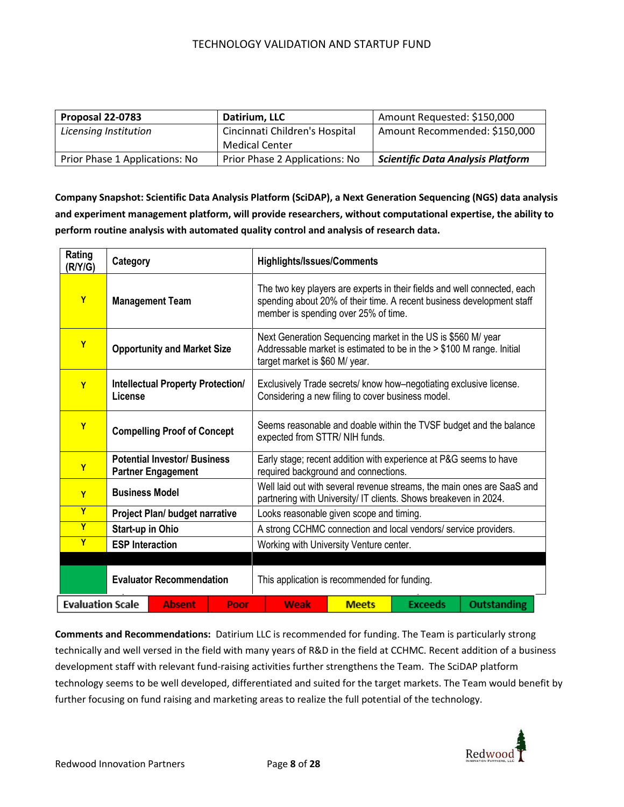| Proposal 22-0783               | Datirium, LLC                  | Amount Requested: \$150,000              |
|--------------------------------|--------------------------------|------------------------------------------|
| Licensing Institution          | Cincinnati Children's Hospital | Amount Recommended: \$150,000            |
|                                | Medical Center                 |                                          |
| Prior Phase 1 Applications: No | Prior Phase 2 Applications: No | <b>Scientific Data Analysis Platform</b> |

**Company Snapshot: Scientific Data Analysis Platform (SciDAP), a Next Generation Sequencing (NGS) data analysis and experiment management platform, will provide researchers, without computational expertise, the ability to perform routine analysis with automated quality control and analysis of research data.**

| Rating<br>(R/Y/G)                                | Category                           |                                                                  |                                              | <b>Highlights/Issues/Comments</b>                                                                                                                                                         |                                                                                                      |                                                   |                                                                                                                                       |  |  |  |  |
|--------------------------------------------------|------------------------------------|------------------------------------------------------------------|----------------------------------------------|-------------------------------------------------------------------------------------------------------------------------------------------------------------------------------------------|------------------------------------------------------------------------------------------------------|---------------------------------------------------|---------------------------------------------------------------------------------------------------------------------------------------|--|--|--|--|
| Y                                                |                                    | <b>Management Team</b>                                           |                                              | The two key players are experts in their fields and well connected, each<br>spending about 20% of their time. A recent business development staff<br>member is spending over 25% of time. |                                                                                                      |                                                   |                                                                                                                                       |  |  |  |  |
| Y                                                |                                    | <b>Opportunity and Market Size</b>                               |                                              |                                                                                                                                                                                           | target market is \$60 M/ year.                                                                       |                                                   | Next Generation Sequencing market in the US is \$560 M/ year<br>Addressable market is estimated to be in the > \$100 M range. Initial |  |  |  |  |
| Y                                                | License                            | <b>Intellectual Property Protection/</b>                         |                                              |                                                                                                                                                                                           |                                                                                                      | Considering a new filing to cover business model. | Exclusively Trade secrets/ know how-negotiating exclusive license.                                                                    |  |  |  |  |
| Y                                                | <b>Compelling Proof of Concept</b> |                                                                  |                                              |                                                                                                                                                                                           | Seems reasonable and doable within the TVSF budget and the balance<br>expected from STTR/ NIH funds. |                                                   |                                                                                                                                       |  |  |  |  |
| Y                                                |                                    | <b>Potential Investor/ Business</b><br><b>Partner Engagement</b> |                                              | Early stage; recent addition with experience at P&G seems to have<br>required background and connections.                                                                                 |                                                                                                      |                                                   |                                                                                                                                       |  |  |  |  |
| Y                                                | <b>Business Model</b>              |                                                                  |                                              | Well laid out with several revenue streams, the main ones are SaaS and<br>partnering with University/ IT clients. Shows breakeven in 2024.                                                |                                                                                                      |                                                   |                                                                                                                                       |  |  |  |  |
| Ÿ                                                |                                    | Project Plan/ budget narrative                                   |                                              | Looks reasonable given scope and timing.                                                                                                                                                  |                                                                                                      |                                                   |                                                                                                                                       |  |  |  |  |
| Ÿ                                                | Start-up in Ohio                   |                                                                  |                                              | A strong CCHMC connection and local vendors/ service providers.                                                                                                                           |                                                                                                      |                                                   |                                                                                                                                       |  |  |  |  |
| Y                                                | <b>ESP Interaction</b>             |                                                                  |                                              | Working with University Venture center.                                                                                                                                                   |                                                                                                      |                                                   |                                                                                                                                       |  |  |  |  |
|                                                  |                                    |                                                                  |                                              |                                                                                                                                                                                           |                                                                                                      |                                                   |                                                                                                                                       |  |  |  |  |
| <b>Evaluator Recommendation</b>                  |                                    |                                                                  | This application is recommended for funding. |                                                                                                                                                                                           |                                                                                                      |                                                   |                                                                                                                                       |  |  |  |  |
| <b>Evaluation Scale</b><br><b>Absent</b><br>Poor |                                    |                                                                  |                                              | Weak                                                                                                                                                                                      | <b>Meets</b>                                                                                         | <b>Exceeds</b>                                    | <b>Outstanding</b>                                                                                                                    |  |  |  |  |

**Comments and Recommendations:** Datirium LLC is recommended for funding. The Team is particularly strong technically and well versed in the field with many years of R&D in the field at CCHMC. Recent addition of a business development staff with relevant fund-raising activities further strengthens the Team. The SciDAP platform technology seems to be well developed, differentiated and suited for the target markets. The Team would benefit by further focusing on fund raising and marketing areas to realize the full potential of the technology.

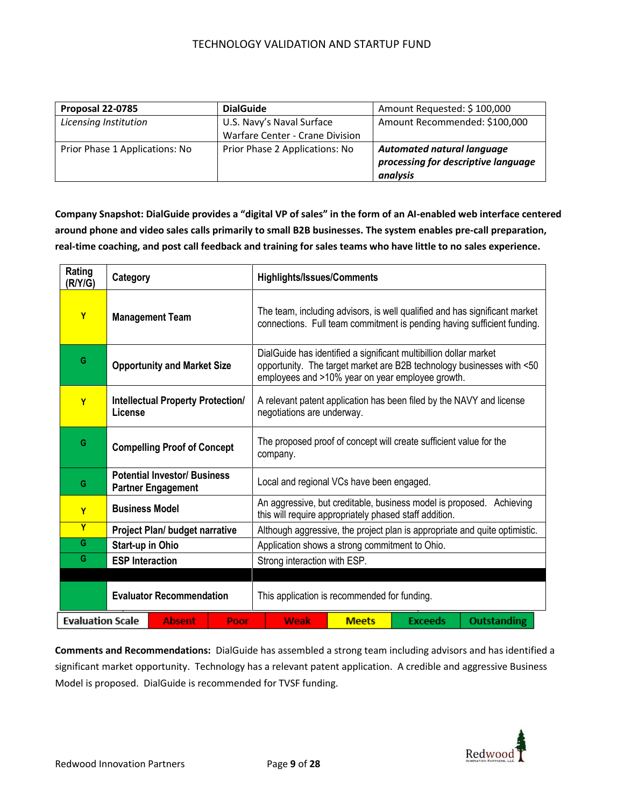| Proposal 22-0785               | <b>DialGuide</b>                | Amount Requested: \$100,000         |
|--------------------------------|---------------------------------|-------------------------------------|
| Licensing Institution          | U.S. Navy's Naval Surface       | Amount Recommended: \$100,000       |
|                                | Warfare Center - Crane Division |                                     |
| Prior Phase 1 Applications: No | Prior Phase 2 Applications: No  | <b>Automated natural language</b>   |
|                                |                                 | processing for descriptive language |
|                                |                                 | analysis                            |

**Company Snapshot: DialGuide provides a "digital VP of sales" in the form of an AI-enabled web interface centered around phone and video sales calls primarily to small B2B businesses. The system enables pre-call preparation, real-time coaching, and post call feedback and training for sales teams who have little to no sales experience.**

| Rating<br>(R/Y/G)       | Category                                                        | <b>Highlights/Issues/Comments</b>                                                                                                                                                              |  |  |  |
|-------------------------|-----------------------------------------------------------------|------------------------------------------------------------------------------------------------------------------------------------------------------------------------------------------------|--|--|--|
| Y                       | <b>Management Team</b>                                          | The team, including advisors, is well qualified and has significant market<br>connections. Full team commitment is pending having sufficient funding.                                          |  |  |  |
| G                       | <b>Opportunity and Market Size</b>                              | DialGuide has identified a significant multibillion dollar market<br>opportunity. The target market are B2B technology businesses with <50<br>employees and >10% year on year employee growth. |  |  |  |
| Y                       | <b>Intellectual Property Protection/</b><br>License             | A relevant patent application has been filed by the NAVY and license<br>negotiations are underway.                                                                                             |  |  |  |
| G                       | <b>Compelling Proof of Concept</b>                              | The proposed proof of concept will create sufficient value for the<br>company.                                                                                                                 |  |  |  |
| G                       | <b>Potential Investor/Business</b><br><b>Partner Engagement</b> | Local and regional VCs have been engaged.                                                                                                                                                      |  |  |  |
| Y                       | <b>Business Model</b>                                           | An aggressive, but creditable, business model is proposed.<br>Achieving<br>this will require appropriately phased staff addition.                                                              |  |  |  |
| Y                       | Project Plan/ budget narrative                                  | Although aggressive, the project plan is appropriate and quite optimistic.                                                                                                                     |  |  |  |
| G                       | Start-up in Ohio                                                | Application shows a strong commitment to Ohio.                                                                                                                                                 |  |  |  |
| G                       | <b>ESP Interaction</b>                                          | Strong interaction with ESP.                                                                                                                                                                   |  |  |  |
|                         |                                                                 |                                                                                                                                                                                                |  |  |  |
|                         | <b>Evaluator Recommendation</b>                                 | This application is recommended for funding.                                                                                                                                                   |  |  |  |
| <b>Evaluation Scale</b> | <b>Absent</b><br>Poor                                           | <b>Outstanding</b><br>Weak<br><b>Meets</b><br><b>Exceeds</b>                                                                                                                                   |  |  |  |

**Comments and Recommendations:** DialGuide has assembled a strong team including advisors and has identified a significant market opportunity. Technology has a relevant patent application. A credible and aggressive Business Model is proposed. DialGuide is recommended for TVSF funding.

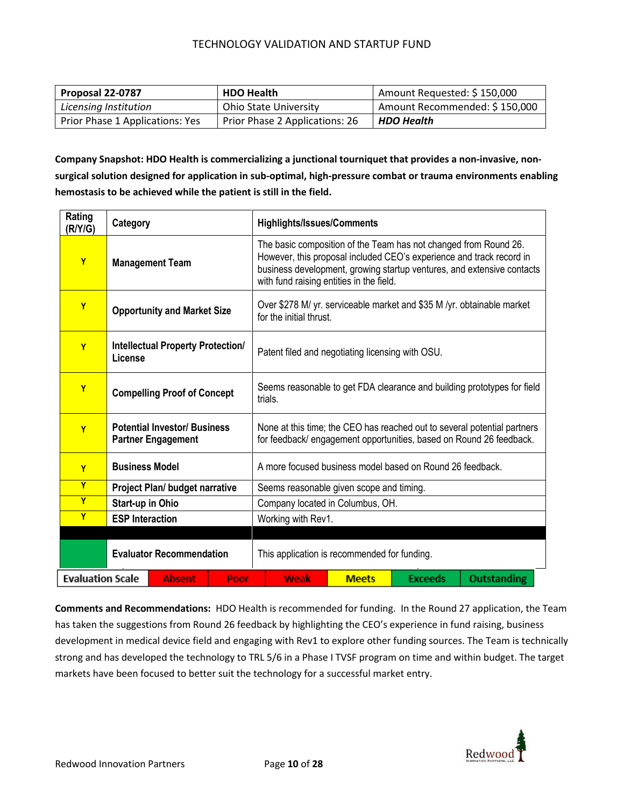| Proposal 22-0787                | <b>HDO Health</b>              | Amount Requested: \$150,000   |
|---------------------------------|--------------------------------|-------------------------------|
| Licensing Institution           | <b>Ohio State University</b>   | Amount Recommended: \$150,000 |
| Prior Phase 1 Applications: Yes | Prior Phase 2 Applications: 26 | <b>HDO Health</b>             |

**Company Snapshot: HDO Health is commercializing a junctional tourniquet that provides a non-invasive, nonsurgical solution designed for application in sub-optimal, high-pressure combat or trauma environments enabling hemostasis to be achieved while the patient is still in the field.**

| Rating<br>(R/Y/G)       | Category                                                         |                                |      | <b>Highlights/Issues/Comments</b>                                                                                                                                                                                                                              |              |                |                    |  |
|-------------------------|------------------------------------------------------------------|--------------------------------|------|----------------------------------------------------------------------------------------------------------------------------------------------------------------------------------------------------------------------------------------------------------------|--------------|----------------|--------------------|--|
| Y                       | <b>Management Team</b>                                           |                                |      | The basic composition of the Team has not changed from Round 26.<br>However, this proposal included CEO's experience and track record in<br>business development, growing startup ventures, and extensive contacts<br>with fund raising entities in the field. |              |                |                    |  |
| Y                       | <b>Opportunity and Market Size</b>                               |                                |      | Over \$278 M/ yr. serviceable market and \$35 M /yr. obtainable market<br>for the initial thrust.                                                                                                                                                              |              |                |                    |  |
| Y                       | <b>Intellectual Property Protection/</b><br>License              |                                |      | Patent filed and negotiating licensing with OSU.                                                                                                                                                                                                               |              |                |                    |  |
| Y                       | <b>Compelling Proof of Concept</b>                               |                                |      | Seems reasonable to get FDA clearance and building prototypes for field<br>trials.                                                                                                                                                                             |              |                |                    |  |
| Y                       | <b>Potential Investor/ Business</b><br><b>Partner Engagement</b> |                                |      | None at this time; the CEO has reached out to several potential partners<br>for feedback/ engagement opportunities, based on Round 26 feedback.                                                                                                                |              |                |                    |  |
| Y                       | <b>Business Model</b>                                            |                                |      | A more focused business model based on Round 26 feedback.                                                                                                                                                                                                      |              |                |                    |  |
| Y                       |                                                                  | Project Plan/ budget narrative |      | Seems reasonable given scope and timing.                                                                                                                                                                                                                       |              |                |                    |  |
| Y                       | Start-up in Ohio                                                 |                                |      | Company located in Columbus, OH.                                                                                                                                                                                                                               |              |                |                    |  |
| Y                       | <b>ESP Interaction</b>                                           |                                |      | Working with Rev1.                                                                                                                                                                                                                                             |              |                |                    |  |
|                         |                                                                  |                                |      |                                                                                                                                                                                                                                                                |              |                |                    |  |
|                         | <b>Evaluator Recommendation</b>                                  |                                |      | This application is recommended for funding.                                                                                                                                                                                                                   |              |                |                    |  |
| <b>Evaluation Scale</b> |                                                                  | <b>Absent</b>                  | Poor | <b>Weak</b>                                                                                                                                                                                                                                                    | <b>Meets</b> | <b>Exceeds</b> | <b>Outstanding</b> |  |

**Comments and Recommendations:** HDO Health is recommended for funding. In the Round 27 application, the Team has taken the suggestions from Round 26 feedback by highlighting the CEO's experience in fund raising, business development in medical device field and engaging with Rev1 to explore other funding sources. The Team is technically strong and has developed the technology to TRL 5/6 in a Phase I TVSF program on time and within budget. The target markets have been focused to better suit the technology for a successful market entry.

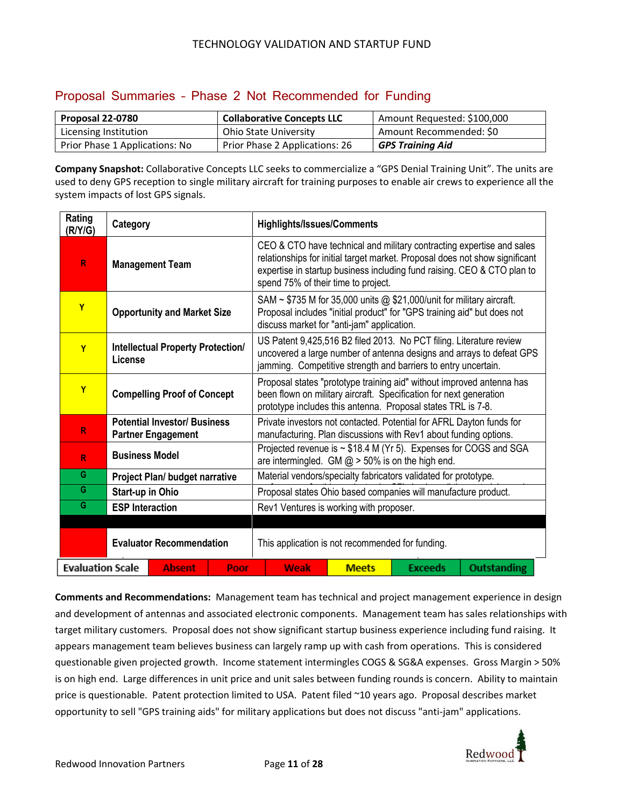### Proposal Summaries – Phase 2 Not Recommended for Funding

| Proposal 22-0780               | <b>Collaborative Concepts LLC</b> | Amount Requested: \$100,000 |
|--------------------------------|-----------------------------------|-----------------------------|
| Licensing Institution          | <b>Ohio State University</b>      | Amount Recommended: \$0     |
| Prior Phase 1 Applications: No | Prior Phase 2 Applications: 26    | <b>GPS Training Aid</b>     |

**Company Snapshot:** Collaborative Concepts LLC seeks to commercialize a "GPS Denial Training Unit". The units are used to deny GPS reception to single military aircraft for training purposes to enable air crews to experience all the system impacts of lost GPS signals.

| Rating<br>(R/Y/G)       | Category                                                         |                                |      | <b>Highlights/Issues/Comments</b>                                                                                                                                                                                                                                      |              |                |                    |
|-------------------------|------------------------------------------------------------------|--------------------------------|------|------------------------------------------------------------------------------------------------------------------------------------------------------------------------------------------------------------------------------------------------------------------------|--------------|----------------|--------------------|
| R                       | <b>Management Team</b>                                           |                                |      | CEO & CTO have technical and military contracting expertise and sales<br>relationships for initial target market. Proposal does not show significant<br>expertise in startup business including fund raising. CEO & CTO plan to<br>spend 75% of their time to project. |              |                |                    |
| Y                       | <b>Opportunity and Market Size</b>                               |                                |      | SAM ~ \$735 M for 35,000 units @ \$21,000/unit for military aircraft.<br>Proposal includes "initial product" for "GPS training aid" but does not<br>discuss market for "anti-jam" application.                                                                         |              |                |                    |
| Y                       | <b>Intellectual Property Protection/</b><br>License              |                                |      | US Patent 9,425,516 B2 filed 2013. No PCT filing. Literature review<br>uncovered a large number of antenna designs and arrays to defeat GPS<br>jamming. Competitive strength and barriers to entry uncertain.                                                          |              |                |                    |
| Y                       | <b>Compelling Proof of Concept</b>                               |                                |      | Proposal states "prototype training aid" without improved antenna has<br>been flown on military aircraft. Specification for next generation<br>prototype includes this antenna. Proposal states TRL is 7-8.                                                            |              |                |                    |
| R                       | <b>Potential Investor/ Business</b><br><b>Partner Engagement</b> |                                |      | Private investors not contacted. Potential for AFRL Dayton funds for<br>manufacturing. Plan discussions with Rev1 about funding options.                                                                                                                               |              |                |                    |
| R                       | <b>Business Model</b>                                            |                                |      | Projected revenue is ~ \$18.4 M (Yr 5). Expenses for COGS and SGA<br>are intermingled. GM $@>50\%$ is on the high end.                                                                                                                                                 |              |                |                    |
| G                       |                                                                  | Project Plan/ budget narrative |      | Material vendors/specialty fabricators validated for prototype.                                                                                                                                                                                                        |              |                |                    |
| G                       | Start-up in Ohio                                                 |                                |      | Proposal states Ohio based companies will manufacture product.                                                                                                                                                                                                         |              |                |                    |
| G                       | <b>ESP</b> Interaction                                           |                                |      | Rev1 Ventures is working with proposer.                                                                                                                                                                                                                                |              |                |                    |
|                         |                                                                  |                                |      |                                                                                                                                                                                                                                                                        |              |                |                    |
|                         | <b>Evaluator Recommendation</b>                                  |                                |      | This application is not recommended for funding.                                                                                                                                                                                                                       |              |                |                    |
| <b>Evaluation Scale</b> |                                                                  | <b>Absent</b>                  | Poor | <b>Weak</b>                                                                                                                                                                                                                                                            | <b>Meets</b> | <b>Exceeds</b> | <b>Outstanding</b> |

**Comments and Recommendations:** Management team has technical and project management experience in design and development of antennas and associated electronic components. Management team has sales relationships with target military customers. Proposal does not show significant startup business experience including fund raising. It appears management team believes business can largely ramp up with cash from operations. This is considered questionable given projected growth. Income statement intermingles COGS & SG&A expenses. Gross Margin > 50% is on high end. Large differences in unit price and unit sales between funding rounds is concern. Ability to maintain price is questionable. Patent protection limited to USA. Patent filed ~10 years ago. Proposal describes market opportunity to sell "GPS training aids" for military applications but does not discuss "anti-jam" applications.

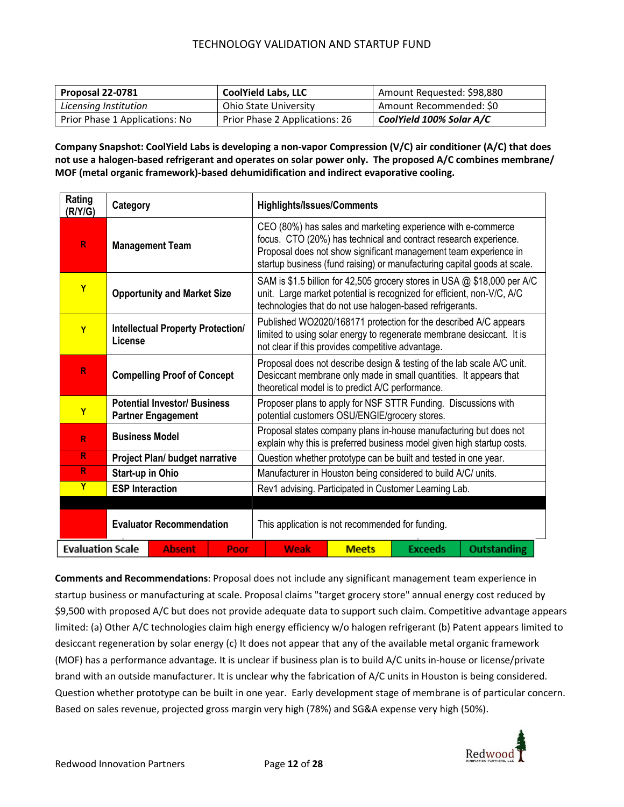| Proposal 22-0781               | <b>CoolYield Labs, LLC</b>     | Amount Requested: \$98,880 |
|--------------------------------|--------------------------------|----------------------------|
| Licensing Institution          | <b>Ohio State University</b>   | Amount Recommended: \$0    |
| Prior Phase 1 Applications: No | Prior Phase 2 Applications: 26 | CoolYield 100% Solar A/C   |

**Company Snapshot: CoolYield Labs is developing a non-vapor Compression (V/C) air conditioner (A/C) that does not use a halogen-based refrigerant and operates on solar power only. The proposed A/C combines membrane/ MOF (metal organic framework)-based dehumidification and indirect evaporative cooling.**

| Rating<br>(R/Y/G)       | <b>Highlights/Issues/Comments</b><br>Category                    |                                |      |                                                                                                                                                                                                                                                                                  |      |              |                |                    |
|-------------------------|------------------------------------------------------------------|--------------------------------|------|----------------------------------------------------------------------------------------------------------------------------------------------------------------------------------------------------------------------------------------------------------------------------------|------|--------------|----------------|--------------------|
| R                       | <b>Management Team</b>                                           |                                |      | CEO (80%) has sales and marketing experience with e-commerce<br>focus. CTO (20%) has technical and contract research experience.<br>Proposal does not show significant management team experience in<br>startup business (fund raising) or manufacturing capital goods at scale. |      |              |                |                    |
| Y                       | <b>Opportunity and Market Size</b>                               |                                |      | SAM is \$1.5 billion for 42,505 grocery stores in USA @ \$18,000 per A/C<br>unit. Large market potential is recognized for efficient, non-V/C, A/C<br>technologies that do not use halogen-based refrigerants.                                                                   |      |              |                |                    |
| Y                       | <b>Intellectual Property Protection/</b><br>License              |                                |      | Published WO2020/168171 protection for the described A/C appears<br>limited to using solar energy to regenerate membrane desiccant. It is<br>not clear if this provides competitive advantage.                                                                                   |      |              |                |                    |
| R                       | <b>Compelling Proof of Concept</b>                               |                                |      | Proposal does not describe design & testing of the lab scale A/C unit.<br>Desiccant membrane only made in small quantities. It appears that<br>theoretical model is to predict A/C performance.                                                                                  |      |              |                |                    |
| Y                       | <b>Potential Investor/ Business</b><br><b>Partner Engagement</b> |                                |      | Proposer plans to apply for NSF STTR Funding. Discussions with<br>potential customers OSU/ENGIE/grocery stores.                                                                                                                                                                  |      |              |                |                    |
| R                       | <b>Business Model</b>                                            |                                |      | Proposal states company plans in-house manufacturing but does not<br>explain why this is preferred business model given high startup costs.                                                                                                                                      |      |              |                |                    |
| $\mathsf{R}$            |                                                                  | Project Plan/ budget narrative |      | Question whether prototype can be built and tested in one year.                                                                                                                                                                                                                  |      |              |                |                    |
| R                       | Start-up in Ohio                                                 |                                |      | Manufacturer in Houston being considered to build A/C/ units.                                                                                                                                                                                                                    |      |              |                |                    |
| $\overline{Y}$          | <b>ESP Interaction</b>                                           |                                |      | Rev1 advising. Participated in Customer Learning Lab.                                                                                                                                                                                                                            |      |              |                |                    |
|                         |                                                                  |                                |      |                                                                                                                                                                                                                                                                                  |      |              |                |                    |
|                         | <b>Evaluator Recommendation</b>                                  |                                |      | This application is not recommended for funding.                                                                                                                                                                                                                                 |      |              |                |                    |
| <b>Evaluation Scale</b> |                                                                  | <b>Absent</b>                  | Poor |                                                                                                                                                                                                                                                                                  | Weak | <b>Meets</b> | <b>Exceeds</b> | <b>Outstanding</b> |

**Comments and Recommendations**: Proposal does not include any significant management team experience in startup business or manufacturing at scale. Proposal claims "target grocery store" annual energy cost reduced by \$9,500 with proposed A/C but does not provide adequate data to support such claim. Competitive advantage appears limited: (a) Other A/C technologies claim high energy efficiency w/o halogen refrigerant (b) Patent appears limited to desiccant regeneration by solar energy (c) It does not appear that any of the available metal organic framework (MOF) has a performance advantage. It is unclear if business plan is to build A/C units in-house or license/private brand with an outside manufacturer. It is unclear why the fabrication of A/C units in Houston is being considered. Question whether prototype can be built in one year. Early development stage of membrane is of particular concern. Based on sales revenue, projected gross margin very high (78%) and SG&A expense very high (50%).

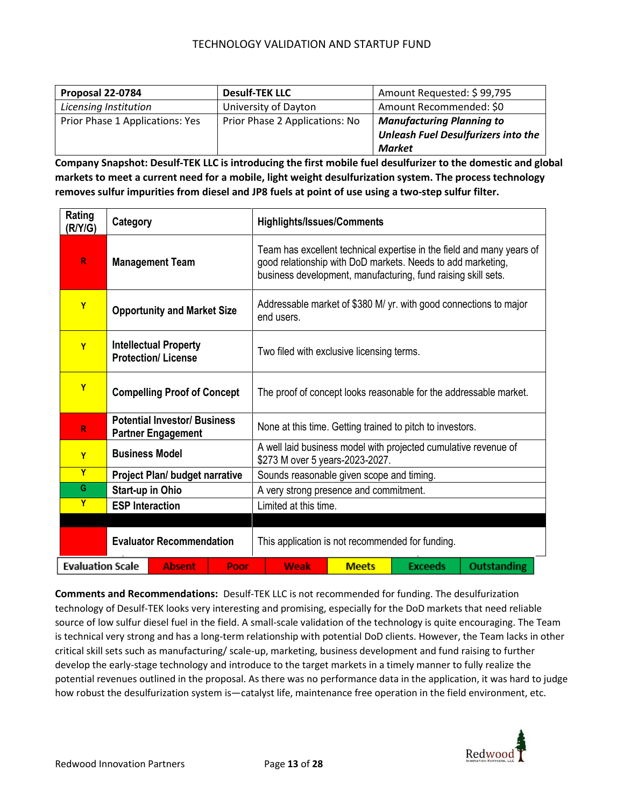| Proposal 22-0784                | <b>Desulf-TEK LLC</b>          | Amount Requested: \$99,795                 |
|---------------------------------|--------------------------------|--------------------------------------------|
| Licensing Institution           | University of Dayton           | Amount Recommended: \$0                    |
| Prior Phase 1 Applications: Yes | Prior Phase 2 Applications: No | <b>Manufacturing Planning to</b>           |
|                                 |                                | <b>Unleash Fuel Desulfurizers into the</b> |
|                                 |                                | Market                                     |

**Company Snapshot: Desulf-TEK LLC is introducing the first mobile fuel desulfurizer to the domestic and global markets to meet a current need for a mobile, light weight desulfurization system. The process technology removes sulfur impurities from diesel and JP8 fuels at point of use using a two-step sulfur filter.** 

| Rating<br>(R/Y/G)               | Category                                                         |                                                  |      | <b>Highlights/Issues/Comments</b>                                                                                                                                                                     |             |              |                |                    |  |
|---------------------------------|------------------------------------------------------------------|--------------------------------------------------|------|-------------------------------------------------------------------------------------------------------------------------------------------------------------------------------------------------------|-------------|--------------|----------------|--------------------|--|
| R                               | <b>Management Team</b>                                           |                                                  |      | Team has excellent technical expertise in the field and many years of<br>good relationship with DoD markets. Needs to add marketing,<br>business development, manufacturing, fund raising skill sets. |             |              |                |                    |  |
| Ÿ                               | <b>Opportunity and Market Size</b>                               |                                                  |      | Addressable market of \$380 M/ yr. with good connections to major<br>end users.                                                                                                                       |             |              |                |                    |  |
| Y                               | <b>Intellectual Property</b><br><b>Protection/License</b>        |                                                  |      | Two filed with exclusive licensing terms.                                                                                                                                                             |             |              |                |                    |  |
| Y                               | <b>Compelling Proof of Concept</b>                               |                                                  |      | The proof of concept looks reasonable for the addressable market.                                                                                                                                     |             |              |                |                    |  |
| R                               | <b>Potential Investor/ Business</b><br><b>Partner Engagement</b> |                                                  |      | None at this time. Getting trained to pitch to investors.                                                                                                                                             |             |              |                |                    |  |
| Y                               | <b>Business Model</b>                                            |                                                  |      | A well laid business model with projected cumulative revenue of<br>\$273 M over 5 years-2023-2027.                                                                                                    |             |              |                |                    |  |
| Y                               |                                                                  | Project Plan/ budget narrative                   |      | Sounds reasonable given scope and timing.                                                                                                                                                             |             |              |                |                    |  |
| G                               | <b>Start-up in Ohio</b>                                          |                                                  |      | A very strong presence and commitment.                                                                                                                                                                |             |              |                |                    |  |
| Y                               | <b>ESP Interaction</b>                                           |                                                  |      | Limited at this time.                                                                                                                                                                                 |             |              |                |                    |  |
|                                 |                                                                  |                                                  |      |                                                                                                                                                                                                       |             |              |                |                    |  |
| <b>Evaluator Recommendation</b> |                                                                  | This application is not recommended for funding. |      |                                                                                                                                                                                                       |             |              |                |                    |  |
| <b>Evaluation Scale</b>         |                                                                  | <b>Absent</b>                                    | Poor |                                                                                                                                                                                                       | <b>Weak</b> | <b>Meets</b> | <b>Exceeds</b> | <b>Outstanding</b> |  |

**Comments and Recommendations:** Desulf-TEK LLC is not recommended for funding. The desulfurization technology of Desulf-TEK looks very interesting and promising, especially for the DoD markets that need reliable source of low sulfur diesel fuel in the field. A small-scale validation of the technology is quite encouraging. The Team is technical very strong and has a long-term relationship with potential DoD clients. However, the Team lacks in other critical skill sets such as manufacturing/ scale-up, marketing, business development and fund raising to further develop the early-stage technology and introduce to the target markets in a timely manner to fully realize the potential revenues outlined in the proposal. As there was no performance data in the application, it was hard to judge how robust the desulfurization system is—catalyst life, maintenance free operation in the field environment, etc.

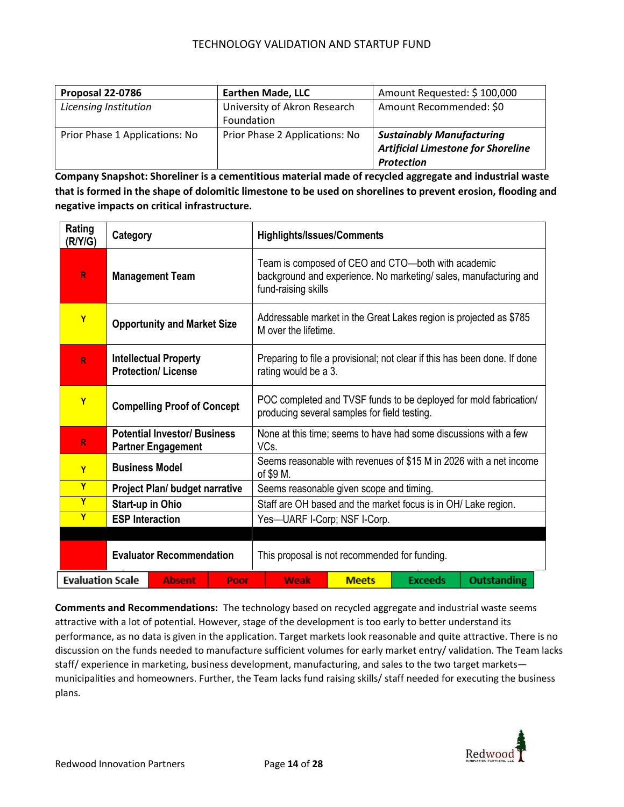| Proposal 22-0786               | <b>Earthen Made, LLC</b>       | Amount Requested: \$100,000               |
|--------------------------------|--------------------------------|-------------------------------------------|
| Licensing Institution          | University of Akron Research   | Amount Recommended: \$0                   |
|                                | Foundation                     |                                           |
| Prior Phase 1 Applications: No | Prior Phase 2 Applications: No | <b>Sustainably Manufacturing</b>          |
|                                |                                | <b>Artificial Limestone for Shoreline</b> |
|                                |                                | Protection                                |

**Company Snapshot: Shoreliner is a cementitious material made of recycled aggregate and industrial waste that is formed in the shape of dolomitic limestone to be used on shorelines to prevent erosion, flooding and negative impacts on critical infrastructure.**

| Rating<br>(R/Y/G)       | Category                                                         |                                       |      | <b>Highlights/Issues/Comments</b>                                                                                                              |  |  |  |  |  |
|-------------------------|------------------------------------------------------------------|---------------------------------------|------|------------------------------------------------------------------------------------------------------------------------------------------------|--|--|--|--|--|
| R                       | <b>Management Team</b>                                           |                                       |      | Team is composed of CEO and CTO-both with academic<br>background and experience. No marketing/ sales, manufacturing and<br>fund-raising skills |  |  |  |  |  |
| Y                       | <b>Opportunity and Market Size</b>                               |                                       |      | Addressable market in the Great Lakes region is projected as \$785<br>M over the lifetime.                                                     |  |  |  |  |  |
| R                       | <b>Intellectual Property</b><br><b>Protection/License</b>        |                                       |      | Preparing to file a provisional; not clear if this has been done. If done<br>rating would be a 3.                                              |  |  |  |  |  |
| Y                       | <b>Compelling Proof of Concept</b>                               |                                       |      | POC completed and TVSF funds to be deployed for mold fabrication/<br>producing several samples for field testing.                              |  |  |  |  |  |
| R                       | <b>Potential Investor/ Business</b><br><b>Partner Engagement</b> |                                       |      | None at this time; seems to have had some discussions with a few<br>VCs.                                                                       |  |  |  |  |  |
| Y                       | <b>Business Model</b>                                            |                                       |      | Seems reasonable with revenues of \$15 M in 2026 with a net income<br>of \$9 M.                                                                |  |  |  |  |  |
| Y                       |                                                                  | <b>Project Plan/ budget narrative</b> |      | Seems reasonable given scope and timing.                                                                                                       |  |  |  |  |  |
| $\overline{Y}$          | Start-up in Ohio                                                 |                                       |      | Staff are OH based and the market focus is in OH/ Lake region.                                                                                 |  |  |  |  |  |
| Ÿ                       | <b>ESP Interaction</b>                                           |                                       |      | Yes-UARF I-Corp; NSF I-Corp.                                                                                                                   |  |  |  |  |  |
|                         |                                                                  |                                       |      |                                                                                                                                                |  |  |  |  |  |
|                         | <b>Evaluator Recommendation</b>                                  |                                       |      | This proposal is not recommended for funding.                                                                                                  |  |  |  |  |  |
| <b>Evaluation Scale</b> |                                                                  | <b>Absent</b>                         | Poor | <b>Outstanding</b><br><b>Weak</b><br><b>Meets</b><br>Exceeds                                                                                   |  |  |  |  |  |

**Comments and Recommendations:** The technology based on recycled aggregate and industrial waste seems attractive with a lot of potential. However, stage of the development is too early to better understand its performance, as no data is given in the application. Target markets look reasonable and quite attractive. There is no discussion on the funds needed to manufacture sufficient volumes for early market entry/ validation. The Team lacks staff/ experience in marketing, business development, manufacturing, and sales to the two target markets municipalities and homeowners. Further, the Team lacks fund raising skills/ staff needed for executing the business plans.

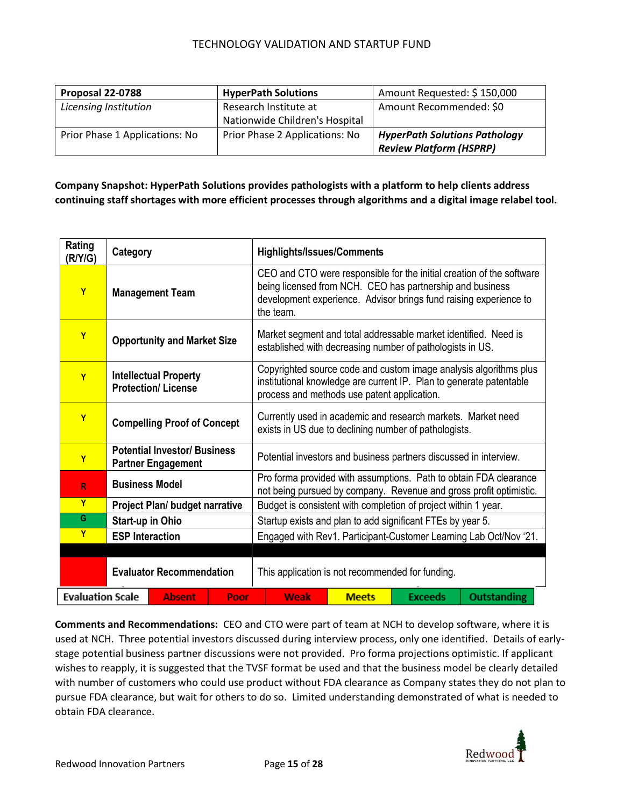| Proposal 22-0788               | <b>HyperPath Solutions</b>     | Amount Requested: \$150,000          |
|--------------------------------|--------------------------------|--------------------------------------|
| Licensing Institution          | Research Institute at          | Amount Recommended: \$0              |
|                                | Nationwide Children's Hospital |                                      |
| Prior Phase 1 Applications: No | Prior Phase 2 Applications: No | <b>HyperPath Solutions Pathology</b> |
|                                |                                | <b>Review Platform (HSPRP)</b>       |

### **Company Snapshot: HyperPath Solutions provides pathologists with a platform to help clients address continuing staff shortages with more efficient processes through algorithms and a digital image relabel tool.**

| Rating<br>(R/Y/G)                                | Category                                                         |                                       | <b>Highlights/Issues/Comments</b>                                                                                                                                                       |                                                                                                                                                                                                                      |                                                  |                    |  |  |
|--------------------------------------------------|------------------------------------------------------------------|---------------------------------------|-----------------------------------------------------------------------------------------------------------------------------------------------------------------------------------------|----------------------------------------------------------------------------------------------------------------------------------------------------------------------------------------------------------------------|--------------------------------------------------|--------------------|--|--|
| $\mathbf{Y}$                                     | <b>Management Team</b>                                           |                                       |                                                                                                                                                                                         | CEO and CTO were responsible for the initial creation of the software<br>being licensed from NCH. CEO has partnership and business<br>development experience. Advisor brings fund raising experience to<br>the team. |                                                  |                    |  |  |
| Y                                                | <b>Opportunity and Market Size</b>                               |                                       | Market segment and total addressable market identified. Need is<br>established with decreasing number of pathologists in US.                                                            |                                                                                                                                                                                                                      |                                                  |                    |  |  |
| Y                                                | <b>Intellectual Property</b><br><b>Protection/License</b>        |                                       | Copyrighted source code and custom image analysis algorithms plus<br>institutional knowledge are current IP. Plan to generate patentable<br>process and methods use patent application. |                                                                                                                                                                                                                      |                                                  |                    |  |  |
| Y                                                | <b>Compelling Proof of Concept</b>                               |                                       |                                                                                                                                                                                         | Currently used in academic and research markets. Market need<br>exists in US due to declining number of pathologists.                                                                                                |                                                  |                    |  |  |
| Y                                                | <b>Potential Investor/ Business</b><br><b>Partner Engagement</b> |                                       |                                                                                                                                                                                         | Potential investors and business partners discussed in interview.                                                                                                                                                    |                                                  |                    |  |  |
| R                                                | <b>Business Model</b>                                            |                                       | Pro forma provided with assumptions. Path to obtain FDA clearance<br>not being pursued by company. Revenue and gross profit optimistic.                                                 |                                                                                                                                                                                                                      |                                                  |                    |  |  |
| Ÿ                                                |                                                                  | <b>Project Plan/ budget narrative</b> |                                                                                                                                                                                         | Budget is consistent with completion of project within 1 year.                                                                                                                                                       |                                                  |                    |  |  |
| G.                                               | Start-up in Ohio                                                 |                                       |                                                                                                                                                                                         | Startup exists and plan to add significant FTEs by year 5.                                                                                                                                                           |                                                  |                    |  |  |
| Y                                                | <b>ESP Interaction</b>                                           |                                       |                                                                                                                                                                                         | Engaged with Rev1. Participant-Customer Learning Lab Oct/Nov '21.                                                                                                                                                    |                                                  |                    |  |  |
|                                                  |                                                                  |                                       |                                                                                                                                                                                         |                                                                                                                                                                                                                      |                                                  |                    |  |  |
| <b>Evaluator Recommendation</b>                  |                                                                  |                                       |                                                                                                                                                                                         |                                                                                                                                                                                                                      | This application is not recommended for funding. |                    |  |  |
| <b>Evaluation Scale</b><br><b>Absent</b><br>Poor |                                                                  |                                       | Weak                                                                                                                                                                                    | <b>Meets</b>                                                                                                                                                                                                         | <b>Exceeds</b>                                   | <b>Outstanding</b> |  |  |

**Comments and Recommendations:** CEO and CTO were part of team at NCH to develop software, where it is used at NCH. Three potential investors discussed during interview process, only one identified. Details of earlystage potential business partner discussions were not provided. Pro forma projections optimistic. If applicant wishes to reapply, it is suggested that the TVSF format be used and that the business model be clearly detailed with number of customers who could use product without FDA clearance as Company states they do not plan to pursue FDA clearance, but wait for others to do so. Limited understanding demonstrated of what is needed to obtain FDA clearance.

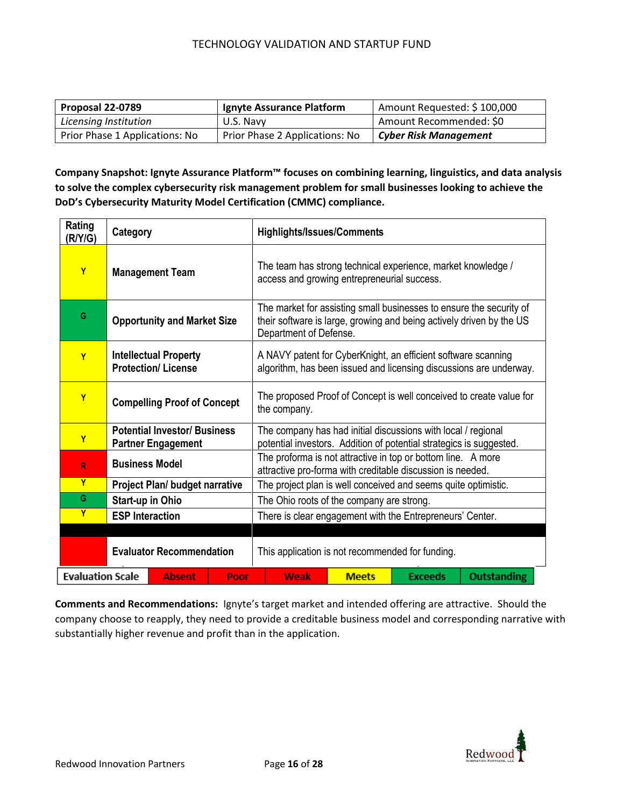| Proposal 22-0789               | Ignyte Assurance Platform      | Amount Requested: \$100,000  |
|--------------------------------|--------------------------------|------------------------------|
| Licensing Institution          | U.S. Navy                      | Amount Recommended: \$0      |
| Prior Phase 1 Applications: No | Prior Phase 2 Applications: No | <b>Cyber Risk Management</b> |

**Company Snapshot: Ignyte Assurance Platform™ focuses on combining learning, linguistics, and data analysis to solve the complex cybersecurity risk management problem for small businesses looking to achieve the DoD's Cybersecurity Maturity Model Certification (CMMC) compliance.**

| Rating<br>(R/Y/G)                                | Category                                                         |                                                  | <b>Highlights/Issues/Comments</b>                                                                                                                                     |              |                |                    |  |
|--------------------------------------------------|------------------------------------------------------------------|--------------------------------------------------|-----------------------------------------------------------------------------------------------------------------------------------------------------------------------|--------------|----------------|--------------------|--|
| Y                                                | <b>Management Team</b>                                           |                                                  | The team has strong technical experience, market knowledge /<br>access and growing entrepreneurial success.                                                           |              |                |                    |  |
| G                                                | <b>Opportunity and Market Size</b>                               |                                                  | The market for assisting small businesses to ensure the security of<br>their software is large, growing and being actively driven by the US<br>Department of Defense. |              |                |                    |  |
| Y                                                | <b>Intellectual Property</b><br><b>Protection/License</b>        |                                                  | A NAVY patent for CyberKnight, an efficient software scanning<br>algorithm, has been issued and licensing discussions are underway.                                   |              |                |                    |  |
| Y                                                | <b>Compelling Proof of Concept</b>                               |                                                  | The proposed Proof of Concept is well conceived to create value for<br>the company.                                                                                   |              |                |                    |  |
| Y                                                | <b>Potential Investor/ Business</b><br><b>Partner Engagement</b> |                                                  | The company has had initial discussions with local / regional<br>potential investors. Addition of potential strategics is suggested.                                  |              |                |                    |  |
| R                                                | <b>Business Model</b>                                            |                                                  | The proforma is not attractive in top or bottom line. A more<br>attractive pro-forma with creditable discussion is needed.                                            |              |                |                    |  |
| Y                                                | <b>Project Plan/ budget narrative</b>                            |                                                  | The project plan is well conceived and seems quite optimistic.                                                                                                        |              |                |                    |  |
| G                                                | Start-up in Ohio                                                 |                                                  | The Ohio roots of the company are strong.                                                                                                                             |              |                |                    |  |
| Y                                                | <b>ESP Interaction</b>                                           |                                                  | There is clear engagement with the Entrepreneurs' Center.                                                                                                             |              |                |                    |  |
| <b>Evaluator Recommendation</b>                  |                                                                  | This application is not recommended for funding. |                                                                                                                                                                       |              |                |                    |  |
| <b>Evaluation Scale</b><br><b>Absent</b><br>Poor |                                                                  |                                                  | Weak                                                                                                                                                                  | <b>Meets</b> | <b>Exceeds</b> | <b>Outstanding</b> |  |

**Comments and Recommendations:** Ignyte's target market and intended offering are attractive. Should the company choose to reapply, they need to provide a creditable business model and corresponding narrative with substantially higher revenue and profit than in the application.

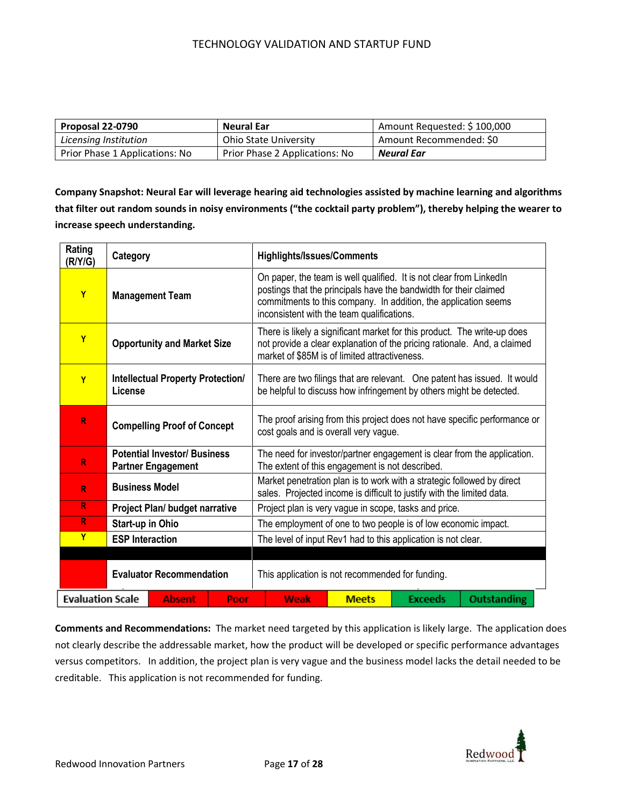| Proposal 22-0790               | Neural Ear                     | Amount Requested: \$100,000 |
|--------------------------------|--------------------------------|-----------------------------|
| Licensing Institution          | <b>Ohio State University</b>   | Amount Recommended: \$0     |
| Prior Phase 1 Applications: No | Prior Phase 2 Applications: No | Neural Ear                  |

**Company Snapshot: Neural Ear will leverage hearing aid technologies assisted by machine learning and algorithms that filter out random sounds in noisy environments ("the cocktail party problem"), thereby helping the wearer to increase speech understanding.**

| Rating<br>(R/Y/G)                                | Category                                            |                                                  | <b>Highlights/Issues/Comments</b>                                                                                                                                                                     |                                                                                                                                                                                                                                                            |                |                    |  |                                                                         |
|--------------------------------------------------|-----------------------------------------------------|--------------------------------------------------|-------------------------------------------------------------------------------------------------------------------------------------------------------------------------------------------------------|------------------------------------------------------------------------------------------------------------------------------------------------------------------------------------------------------------------------------------------------------------|----------------|--------------------|--|-------------------------------------------------------------------------|
| Y                                                | <b>Management Team</b>                              |                                                  |                                                                                                                                                                                                       | On paper, the team is well qualified. It is not clear from Linked In<br>postings that the principals have the bandwidth for their claimed<br>commitments to this company. In addition, the application seems<br>inconsistent with the team qualifications. |                |                    |  |                                                                         |
| Y                                                | <b>Opportunity and Market Size</b>                  |                                                  | There is likely a significant market for this product. The write-up does<br>not provide a clear explanation of the pricing rationale. And, a claimed<br>market of \$85M is of limited attractiveness. |                                                                                                                                                                                                                                                            |                |                    |  |                                                                         |
| Y                                                | <b>Intellectual Property Protection/</b><br>License |                                                  | There are two filings that are relevant. One patent has issued. It would<br>be helpful to discuss how infringement by others might be detected.                                                       |                                                                                                                                                                                                                                                            |                |                    |  |                                                                         |
| R                                                | <b>Compelling Proof of Concept</b>                  |                                                  | The proof arising from this project does not have specific performance or<br>cost goals and is overall very vague.                                                                                    |                                                                                                                                                                                                                                                            |                |                    |  |                                                                         |
| R                                                | <b>Potential Investor/ Business</b>                 |                                                  |                                                                                                                                                                                                       |                                                                                                                                                                                                                                                            |                |                    |  | The need for investor/partner engagement is clear from the application. |
| $\mathsf{R}$                                     | <b>Partner Engagement</b><br><b>Business Model</b>  |                                                  | The extent of this engagement is not described.<br>Market penetration plan is to work with a strategic followed by direct<br>sales. Projected income is difficult to justify with the limited data.   |                                                                                                                                                                                                                                                            |                |                    |  |                                                                         |
| $\mathsf R$                                      |                                                     | Project Plan/ budget narrative                   |                                                                                                                                                                                                       | Project plan is very vague in scope, tasks and price.                                                                                                                                                                                                      |                |                    |  |                                                                         |
| R                                                | Start-up in Ohio                                    |                                                  |                                                                                                                                                                                                       | The employment of one to two people is of low economic impact.                                                                                                                                                                                             |                |                    |  |                                                                         |
| Y                                                | <b>ESP Interaction</b>                              |                                                  | The level of input Rev1 had to this application is not clear.                                                                                                                                         |                                                                                                                                                                                                                                                            |                |                    |  |                                                                         |
|                                                  |                                                     |                                                  |                                                                                                                                                                                                       |                                                                                                                                                                                                                                                            |                |                    |  |                                                                         |
| <b>Evaluator Recommendation</b>                  |                                                     | This application is not recommended for funding. |                                                                                                                                                                                                       |                                                                                                                                                                                                                                                            |                |                    |  |                                                                         |
| <b>Evaluation Scale</b><br><b>Absent</b><br>Poor |                                                     |                                                  | Weak                                                                                                                                                                                                  | <b>Meets</b>                                                                                                                                                                                                                                               | <b>Exceeds</b> | <b>Outstanding</b> |  |                                                                         |

**Comments and Recommendations:** The market need targeted by this application is likely large. The application does not clearly describe the addressable market, how the product will be developed or specific performance advantages versus competitors. In addition, the project plan is very vague and the business model lacks the detail needed to be creditable. This application is not recommended for funding.

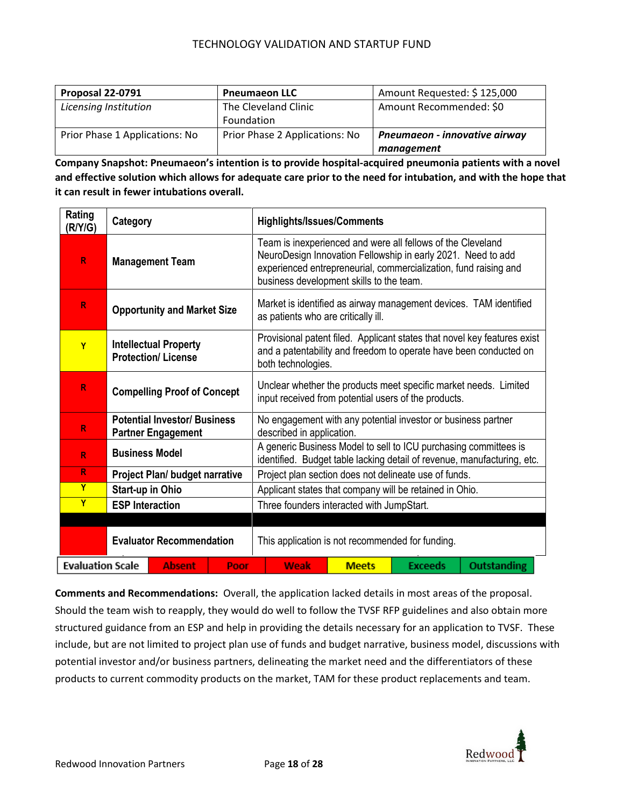| Proposal 22-0791               | <b>Pneumaeon LLC</b>           | Amount Requested: \$125,000   |
|--------------------------------|--------------------------------|-------------------------------|
| Licensing Institution          | The Cleveland Clinic           | Amount Recommended: \$0       |
|                                | Foundation                     |                               |
| Prior Phase 1 Applications: No | Prior Phase 2 Applications: No | Pneumaeon - innovative airway |
|                                |                                | management                    |

**Company Snapshot: Pneumaeon's intention is to provide hospital-acquired pneumonia patients with a novel and effective solution which allows for adequate care prior to the need for intubation, and with the hope that it can result in fewer intubations overall.** 

| Rating<br>(R/Y/G)                                | Category                                                         |                                                  | <b>Highlights/Issues/Comments</b>         |                                                                                                                                                                                                                                             |                    |  |  |  |
|--------------------------------------------------|------------------------------------------------------------------|--------------------------------------------------|-------------------------------------------|---------------------------------------------------------------------------------------------------------------------------------------------------------------------------------------------------------------------------------------------|--------------------|--|--|--|
| R                                                | <b>Management Team</b>                                           |                                                  |                                           | Team is inexperienced and were all fellows of the Cleveland<br>NeuroDesign Innovation Fellowship in early 2021. Need to add<br>experienced entrepreneurial, commercialization, fund raising and<br>business development skills to the team. |                    |  |  |  |
| R                                                | <b>Opportunity and Market Size</b>                               |                                                  |                                           | Market is identified as airway management devices. TAM identified<br>as patients who are critically ill.                                                                                                                                    |                    |  |  |  |
| Y                                                | <b>Intellectual Property</b><br><b>Protection/License</b>        |                                                  |                                           | Provisional patent filed. Applicant states that novel key features exist<br>and a patentability and freedom to operate have been conducted on<br>both technologies.                                                                         |                    |  |  |  |
| R                                                | <b>Compelling Proof of Concept</b>                               |                                                  |                                           | Unclear whether the products meet specific market needs. Limited<br>input received from potential users of the products.                                                                                                                    |                    |  |  |  |
| R                                                | <b>Potential Investor/ Business</b><br><b>Partner Engagement</b> |                                                  |                                           | No engagement with any potential investor or business partner<br>described in application.                                                                                                                                                  |                    |  |  |  |
| R                                                | <b>Business Model</b>                                            |                                                  |                                           | A generic Business Model to sell to ICU purchasing committees is<br>identified. Budget table lacking detail of revenue, manufacturing, etc.                                                                                                 |                    |  |  |  |
| R                                                |                                                                  | <b>Project Plan/ budget narrative</b>            |                                           | Project plan section does not delineate use of funds.                                                                                                                                                                                       |                    |  |  |  |
| Y                                                | Start-up in Ohio                                                 |                                                  |                                           | Applicant states that company will be retained in Ohio.                                                                                                                                                                                     |                    |  |  |  |
| Ÿ                                                | <b>ESP Interaction</b>                                           |                                                  | Three founders interacted with JumpStart. |                                                                                                                                                                                                                                             |                    |  |  |  |
|                                                  |                                                                  |                                                  |                                           |                                                                                                                                                                                                                                             |                    |  |  |  |
| <b>Evaluator Recommendation</b>                  |                                                                  | This application is not recommended for funding. |                                           |                                                                                                                                                                                                                                             |                    |  |  |  |
| <b>Evaluation Scale</b><br><b>Absent</b><br>Poor |                                                                  | Weak                                             | <b>Meets</b>                              | <b>Exceeds</b>                                                                                                                                                                                                                              | <b>Outstanding</b> |  |  |  |

**Comments and Recommendations:** Overall, the application lacked details in most areas of the proposal. Should the team wish to reapply, they would do well to follow the TVSF RFP guidelines and also obtain more structured guidance from an ESP and help in providing the details necessary for an application to TVSF. These include, but are not limited to project plan use of funds and budget narrative, business model, discussions with potential investor and/or business partners, delineating the market need and the differentiators of these products to current commodity products on the market, TAM for these product replacements and team.

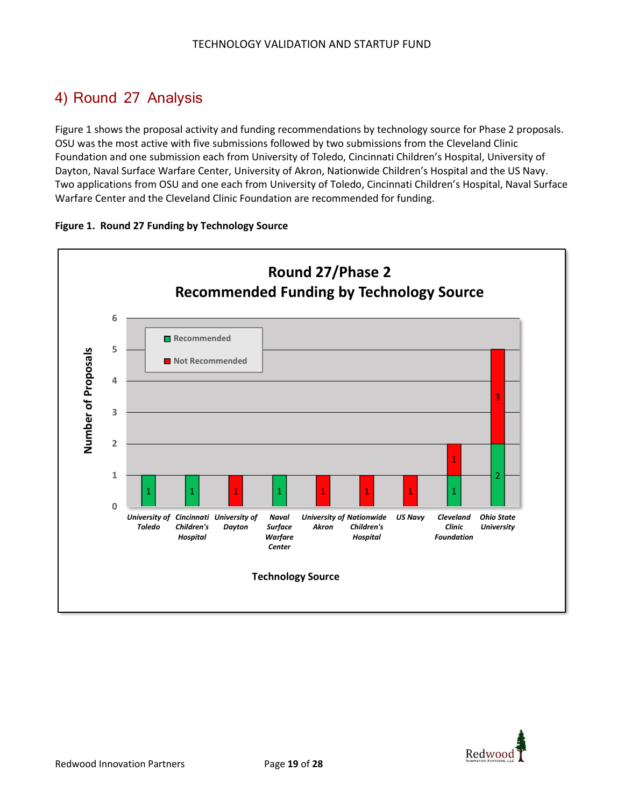### 4) Round 27 Analysis

Figure 1 shows the proposal activity and funding recommendations by technology source for Phase 2 proposals. OSU was the most active with five submissions followed by two submissions from the Cleveland Clinic Foundation and one submission each from University of Toledo, Cincinnati Children's Hospital, University of Dayton, Naval Surface Warfare Center, University of Akron, Nationwide Children's Hospital and the US Navy. Two applications from OSU and one each from University of Toledo, Cincinnati Children's Hospital, Naval Surface Warfare Center and the Cleveland Clinic Foundation are recommended for funding.



#### **Figure 1. Round 27 Funding by Technology Source**

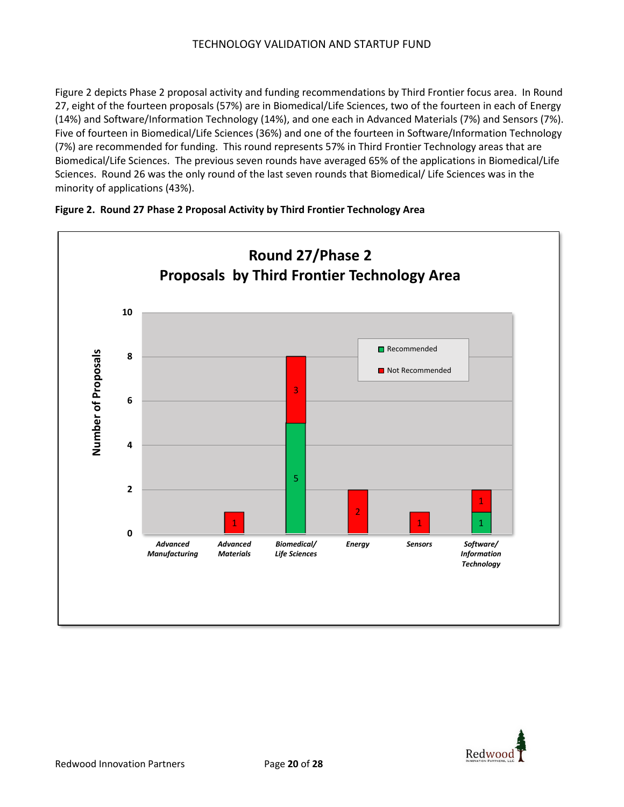Figure 2 depicts Phase 2 proposal activity and funding recommendations by Third Frontier focus area. In Round 27, eight of the fourteen proposals (57%) are in Biomedical/Life Sciences, two of the fourteen in each of Energy (14%) and Software/Information Technology (14%), and one each in Advanced Materials (7%) and Sensors (7%). Five of fourteen in Biomedical/Life Sciences (36%) and one of the fourteen in Software/Information Technology (7%) are recommended for funding. This round represents 57% in Third Frontier Technology areas that are Biomedical/Life Sciences. The previous seven rounds have averaged 65% of the applications in Biomedical/Life Sciences. Round 26 was the only round of the last seven rounds that Biomedical/ Life Sciences was in the minority of applications (43%).





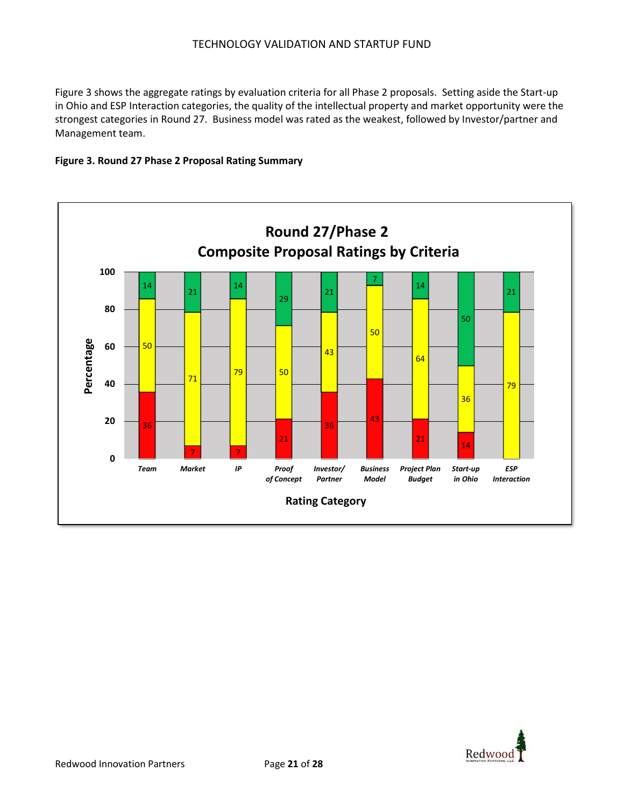Figure 3 shows the aggregate ratings by evaluation criteria for all Phase 2 proposals. Setting aside the Start-up in Ohio and ESP Interaction categories, the quality of the intellectual property and market opportunity were the strongest categories in Round 27. Business model was rated as the weakest, followed by Investor/partner and Management team.

#### **Figure 3. Round 27 Phase 2 Proposal Rating Summary**



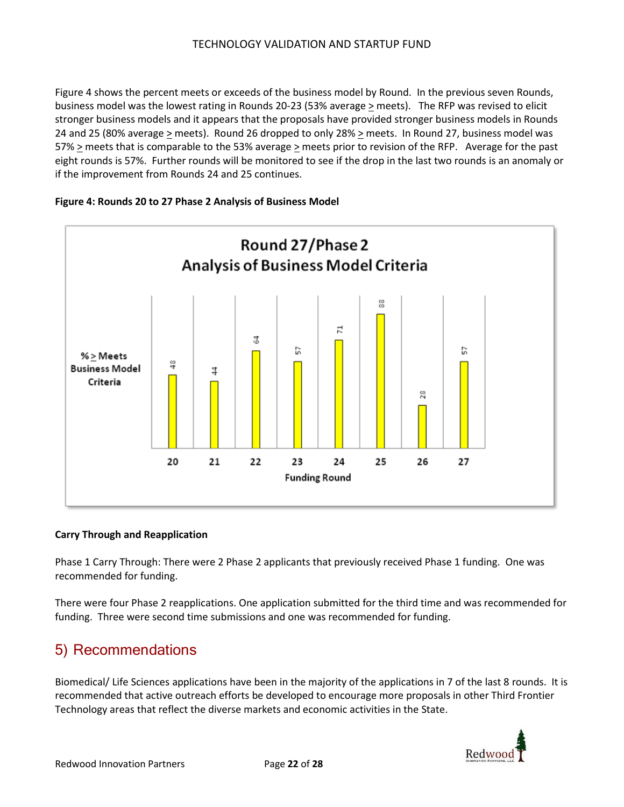Figure 4 shows the percent meets or exceeds of the business model by Round. In the previous seven Rounds, business model was the lowest rating in Rounds 20-23 (53% average > meets). The RFP was revised to elicit stronger business models and it appears that the proposals have provided stronger business models in Rounds 24 and 25 (80% average  $\geq$  meets). Round 26 dropped to only 28%  $\geq$  meets. In Round 27, business model was 57% > meets that is comparable to the 53% average > meets prior to revision of the RFP. Average for the past eight rounds is 57%. Further rounds will be monitored to see if the drop in the last two rounds is an anomaly or if the improvement from Rounds 24 and 25 continues.

#### **Figure 4: Rounds 20 to 27 Phase 2 Analysis of Business Model**



#### **Carry Through and Reapplication**

Phase 1 Carry Through: There were 2 Phase 2 applicants that previously received Phase 1 funding. One was recommended for funding.

There were four Phase 2 reapplications. One application submitted for the third time and was recommended for funding. Three were second time submissions and one was recommended for funding.

### 5) Recommendations

Biomedical/ Life Sciences applications have been in the majority of the applications in 7 of the last 8 rounds. It is recommended that active outreach efforts be developed to encourage more proposals in other Third Frontier Technology areas that reflect the diverse markets and economic activities in the State.

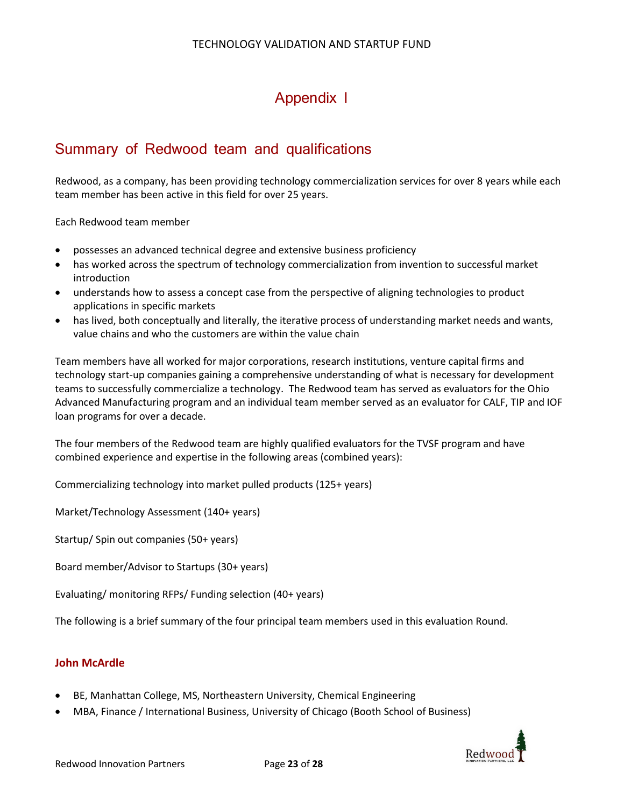### Appendix I

### Summary of Redwood team and qualifications

Redwood, as a company, has been providing technology commercialization services for over 8 years while each team member has been active in this field for over 25 years.

Each Redwood team member

- possesses an advanced technical degree and extensive business proficiency
- has worked across the spectrum of technology commercialization from invention to successful market introduction
- understands how to assess a concept case from the perspective of aligning technologies to product applications in specific markets
- has lived, both conceptually and literally, the iterative process of understanding market needs and wants, value chains and who the customers are within the value chain

Team members have all worked for major corporations, research institutions, venture capital firms and technology start-up companies gaining a comprehensive understanding of what is necessary for development teams to successfully commercialize a technology. The Redwood team has served as evaluators for the Ohio Advanced Manufacturing program and an individual team member served as an evaluator for CALF, TIP and IOF loan programs for over a decade.

The four members of the Redwood team are highly qualified evaluators for the TVSF program and have combined experience and expertise in the following areas (combined years):

Commercializing technology into market pulled products (125+ years)

Market/Technology Assessment (140+ years)

Startup/ Spin out companies (50+ years)

Board member/Advisor to Startups (30+ years)

Evaluating/ monitoring RFPs/ Funding selection (40+ years)

The following is a brief summary of the four principal team members used in this evaluation Round.

### **John McArdle**

- BE, Manhattan College, MS, Northeastern University, Chemical Engineering
- MBA, Finance / International Business, University of Chicago (Booth School of Business)

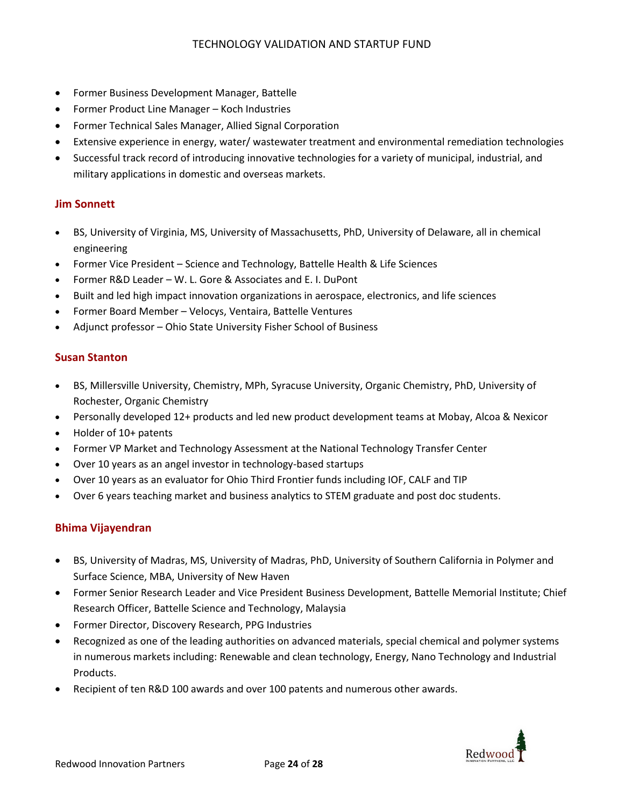- Former Business Development Manager, Battelle
- Former Product Line Manager Koch Industries
- Former Technical Sales Manager, Allied Signal Corporation
- Extensive experience in energy, water/ wastewater treatment and environmental remediation technologies
- Successful track record of introducing innovative technologies for a variety of municipal, industrial, and military applications in domestic and overseas markets.

### **Jim Sonnett**

- BS, University of Virginia, MS, University of Massachusetts, PhD, University of Delaware, all in chemical engineering
- Former Vice President Science and Technology, Battelle Health & Life Sciences
- Former R&D Leader W. L. Gore & Associates and E. I. DuPont
- Built and led high impact innovation organizations in aerospace, electronics, and life sciences
- Former Board Member Velocys, Ventaira, Battelle Ventures
- Adjunct professor Ohio State University Fisher School of Business

### **Susan Stanton**

- BS, Millersville University, Chemistry, MPh, Syracuse University, Organic Chemistry, PhD, University of Rochester, Organic Chemistry
- Personally developed 12+ products and led new product development teams at Mobay, Alcoa & Nexicor
- Holder of 10+ patents
- Former VP Market and Technology Assessment at the National Technology Transfer Center
- Over 10 years as an angel investor in technology-based startups
- Over 10 years as an evaluator for Ohio Third Frontier funds including IOF, CALF and TIP
- Over 6 years teaching market and business analytics to STEM graduate and post doc students.

### **Bhima Vijayendran**

- BS, University of Madras, MS, University of Madras, PhD, University of Southern California in Polymer and Surface Science, MBA, University of New Haven
- Former Senior Research Leader and Vice President Business Development, Battelle Memorial Institute; Chief Research Officer, Battelle Science and Technology, Malaysia
- Former Director, Discovery Research, PPG Industries
- Recognized as one of the leading authorities on advanced materials, special chemical and polymer systems in numerous markets including: Renewable and clean technology, Energy, Nano Technology and Industrial Products.
- Recipient of ten R&D 100 awards and over 100 patents and numerous other awards.

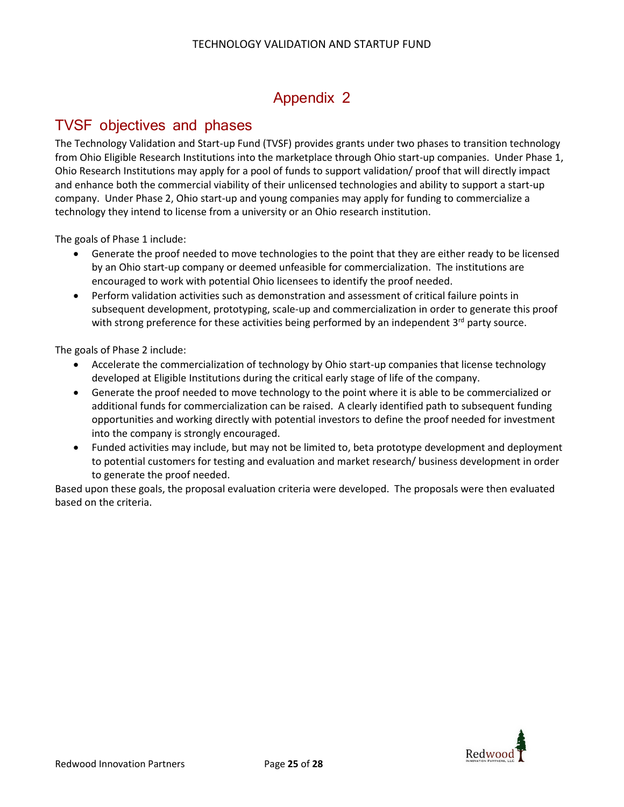### Appendix 2

### TVSF objectives and phases

The Technology Validation and Start-up Fund (TVSF) provides grants under two phases to transition technology from Ohio Eligible Research Institutions into the marketplace through Ohio start-up companies. Under Phase 1, Ohio Research Institutions may apply for a pool of funds to support validation/ proof that will directly impact and enhance both the commercial viability of their unlicensed technologies and ability to support a start-up company. Under Phase 2, Ohio start-up and young companies may apply for funding to commercialize a technology they intend to license from a university or an Ohio research institution.

The goals of Phase 1 include:

- Generate the proof needed to move technologies to the point that they are either ready to be licensed by an Ohio start-up company or deemed unfeasible for commercialization. The institutions are encouraged to work with potential Ohio licensees to identify the proof needed.
- Perform validation activities such as demonstration and assessment of critical failure points in subsequent development, prototyping, scale-up and commercialization in order to generate this proof with strong preference for these activities being performed by an independent  $3^{rd}$  party source.

The goals of Phase 2 include:

- Accelerate the commercialization of technology by Ohio start-up companies that license technology developed at Eligible Institutions during the critical early stage of life of the company.
- Generate the proof needed to move technology to the point where it is able to be commercialized or additional funds for commercialization can be raised. A clearly identified path to subsequent funding opportunities and working directly with potential investors to define the proof needed for investment into the company is strongly encouraged.
- Funded activities may include, but may not be limited to, beta prototype development and deployment to potential customers for testing and evaluation and market research/ business development in order to generate the proof needed.

Based upon these goals, the proposal evaluation criteria were developed. The proposals were then evaluated based on the criteria.

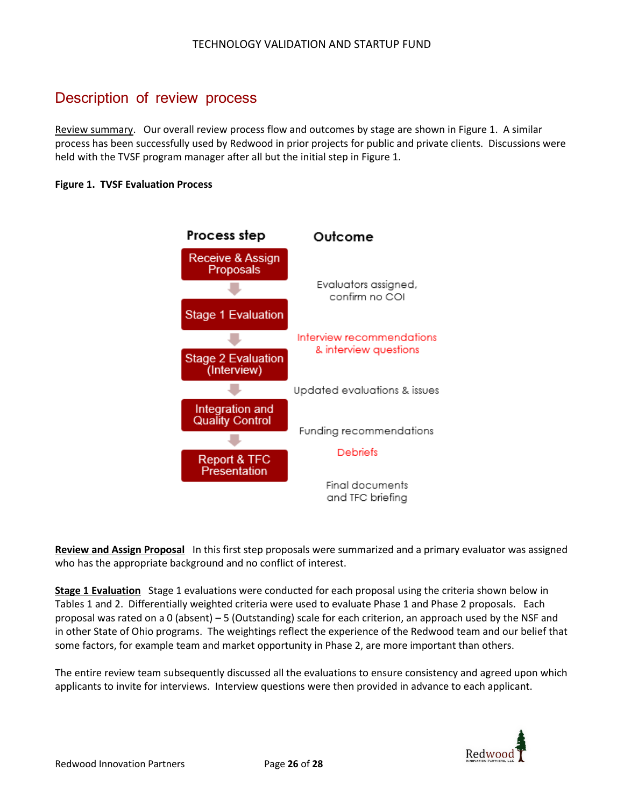### Description of review process

Review summary. Our overall review process flow and outcomes by stage are shown in Figure 1. A similar process has been successfully used by Redwood in prior projects for public and private clients. Discussions were held with the TVSF program manager after all but the initial step in Figure 1.

#### **Figure 1. TVSF Evaluation Process**



**Review and Assign Proposal** In this first step proposals were summarized and a primary evaluator was assigned who has the appropriate background and no conflict of interest.

**Stage 1 Evaluation** Stage 1 evaluations were conducted for each proposal using the criteria shown below in Tables 1 and 2. Differentially weighted criteria were used to evaluate Phase 1 and Phase 2 proposals. Each proposal was rated on a 0 (absent) – 5 (Outstanding) scale for each criterion, an approach used by the NSF and in other State of Ohio programs. The weightings reflect the experience of the Redwood team and our belief that some factors, for example team and market opportunity in Phase 2, are more important than others.

The entire review team subsequently discussed all the evaluations to ensure consistency and agreed upon which applicants to invite for interviews. Interview questions were then provided in advance to each applicant.

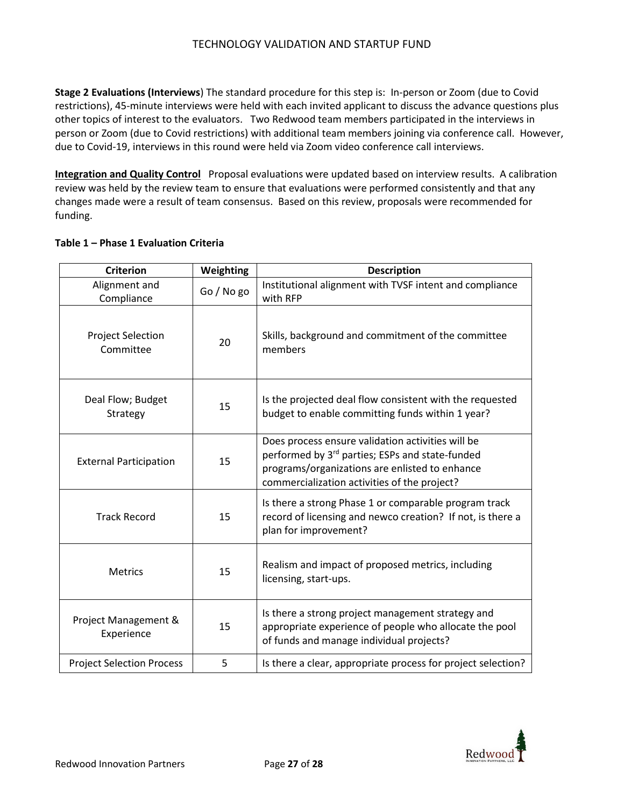**Stage 2 Evaluations (Interviews**) The standard procedure for this step is: In-person or Zoom (due to Covid restrictions), 45-minute interviews were held with each invited applicant to discuss the advance questions plus other topics of interest to the evaluators. Two Redwood team members participated in the interviews in person or Zoom (due to Covid restrictions) with additional team members joining via conference call. However, due to Covid-19, interviews in this round were held via Zoom video conference call interviews.

**Integration and Quality Control** Proposal evaluations were updated based on interview results. A calibration review was held by the review team to ensure that evaluations were performed consistently and that any changes made were a result of team consensus. Based on this review, proposals were recommended for funding.

|  | <b>Criterion</b>                      | Weighting | <b>Description</b>                                                                                                                                                                                     |
|--|---------------------------------------|-----------|--------------------------------------------------------------------------------------------------------------------------------------------------------------------------------------------------------|
|  | Alignment and<br>Compliance           | Go/No go  | Institutional alignment with TVSF intent and compliance<br>with RFP                                                                                                                                    |
|  | <b>Project Selection</b><br>Committee | 20        | Skills, background and commitment of the committee<br>members                                                                                                                                          |
|  | Deal Flow; Budget<br>Strategy         | 15        | Is the projected deal flow consistent with the requested<br>budget to enable committing funds within 1 year?                                                                                           |
|  | <b>External Participation</b>         | 15        | Does process ensure validation activities will be<br>performed by 3rd parties; ESPs and state-funded<br>programs/organizations are enlisted to enhance<br>commercialization activities of the project? |
|  | <b>Track Record</b>                   | 15        | Is there a strong Phase 1 or comparable program track<br>record of licensing and newco creation? If not, is there a<br>plan for improvement?                                                           |
|  | <b>Metrics</b>                        | 15        | Realism and impact of proposed metrics, including<br>licensing, start-ups.                                                                                                                             |
|  | Project Management &<br>Experience    | 15        | Is there a strong project management strategy and<br>appropriate experience of people who allocate the pool<br>of funds and manage individual projects?                                                |
|  | <b>Project Selection Process</b>      | 5         | Is there a clear, appropriate process for project selection?                                                                                                                                           |

### **Table 1 – Phase 1 Evaluation Criteria**